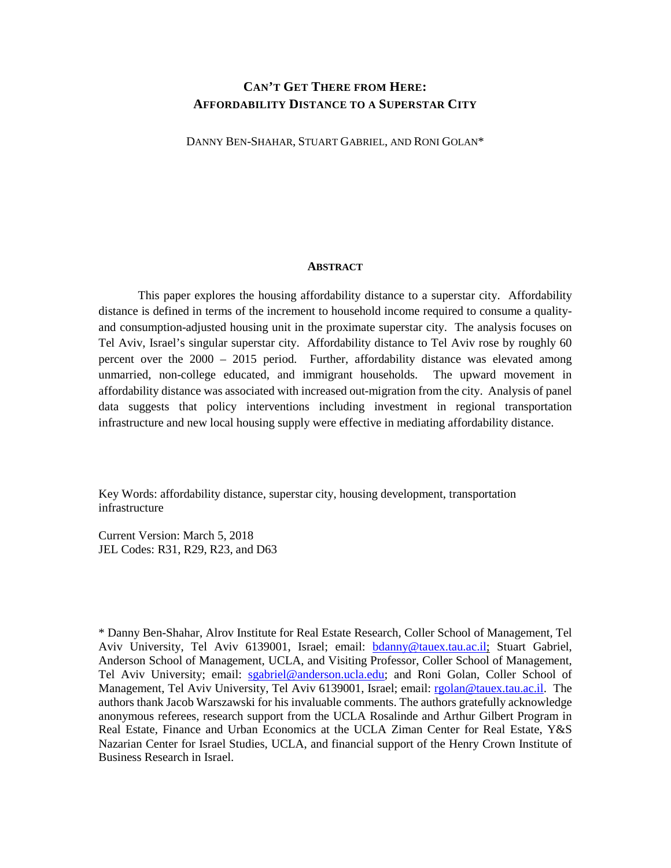## **CAN'T GET THERE FROM HERE: AFFORDABILITY DISTANCE TO A SUPERSTAR CITY**

DANNY BEN-SHAHAR, STUART GABRIEL, AND RONI GOLAN\*

#### **ABSTRACT**

This paper explores the housing affordability distance to a superstar city. Affordability distance is defined in terms of the increment to household income required to consume a qualityand consumption-adjusted housing unit in the proximate superstar city. The analysis focuses on Tel Aviv, Israel's singular superstar city. Affordability distance to Tel Aviv rose by roughly 60 percent over the 2000 – 2015 period. Further, affordability distance was elevated among unmarried, non-college educated, and immigrant households. The upward movement in affordability distance was associated with increased out-migration from the city. Analysis of panel data suggests that policy interventions including investment in regional transportation infrastructure and new local housing supply were effective in mediating affordability distance.

Key Words: affordability distance, superstar city, housing development, transportation infrastructure

Current Version: March 5, 2018 JEL Codes: R31, R29, R23, and D63

\* Danny Ben-Shahar, Alrov Institute for Real Estate Research, Coller School of Management, Tel Aviv University, Tel Aviv 6139001, Israel; email: [bdanny@tauex.tau.ac.il;](mailto:bdanny@tauex.tau.ac.il) Stuart Gabriel, Anderson School of Management, UCLA, and Visiting Professor, Coller School of Management, Tel Aviv University; email: [sgabriel@anderson.ucla.edu;](mailto:sgabriel@anderson.ucla.edu) and Roni Golan, Coller School of Management, Tel Aviv University, Tel Aviv 6139001, Israel; email: [rgolan@tauex.tau.ac.il.](mailto:rgolan@anderson.ucla.edu) The authors thank Jacob Warszawski for his invaluable comments. The authors gratefully acknowledge anonymous referees, research support from the UCLA Rosalinde and Arthur Gilbert Program in Real Estate, Finance and Urban Economics at the UCLA Ziman Center for Real Estate, Y&S Nazarian Center for Israel Studies, UCLA, and financial support of the Henry Crown Institute of Business Research in Israel.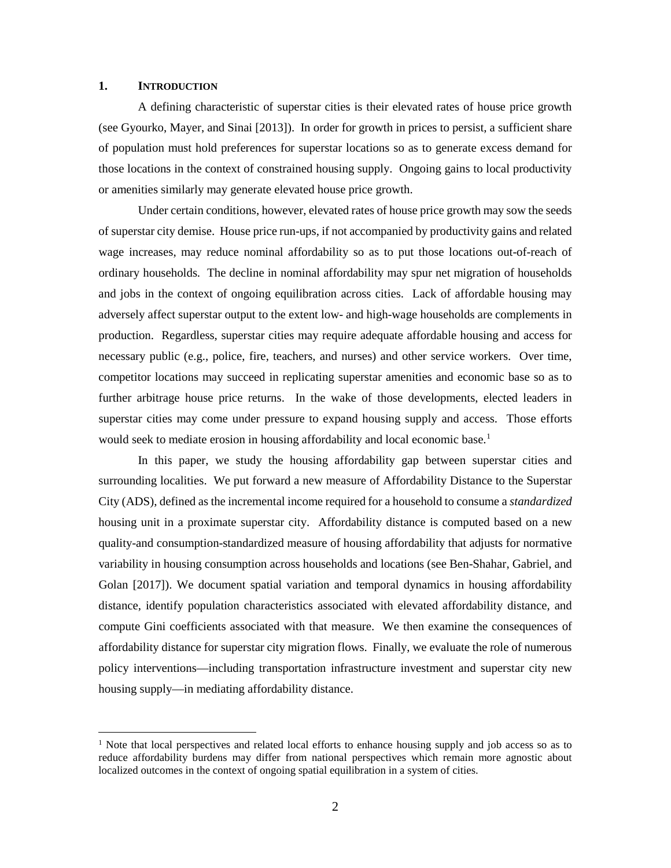#### **1. INTRODUCTION**

A defining characteristic of superstar cities is their elevated rates of house price growth (see Gyourko, Mayer, and Sinai [2013]). In order for growth in prices to persist, a sufficient share of population must hold preferences for superstar locations so as to generate excess demand for those locations in the context of constrained housing supply. Ongoing gains to local productivity or amenities similarly may generate elevated house price growth.

Under certain conditions, however, elevated rates of house price growth may sow the seeds of superstar city demise. House price run-ups, if not accompanied by productivity gains and related wage increases, may reduce nominal affordability so as to put those locations out-of-reach of ordinary households. The decline in nominal affordability may spur net migration of households and jobs in the context of ongoing equilibration across cities. Lack of affordable housing may adversely affect superstar output to the extent low- and high-wage households are complements in production. Regardless, superstar cities may require adequate affordable housing and access for necessary public (e.g., police, fire, teachers, and nurses) and other service workers. Over time, competitor locations may succeed in replicating superstar amenities and economic base so as to further arbitrage house price returns. In the wake of those developments, elected leaders in superstar cities may come under pressure to expand housing supply and access. Those efforts would seek to mediate erosion in housing affordability and local economic base. [1](#page-1-0)

In this paper, we study the housing affordability gap between superstar cities and surrounding localities. We put forward a new measure of Affordability Distance to the Superstar City (ADS), defined as the incremental income required for a household to consume a *standardized* housing unit in a proximate superstar city. Affordability distance is computed based on a new quality-and consumption-standardized measure of housing affordability that adjusts for normative variability in housing consumption across households and locations (see Ben-Shahar, Gabriel, and Golan [2017]). We document spatial variation and temporal dynamics in housing affordability distance, identify population characteristics associated with elevated affordability distance, and compute Gini coefficients associated with that measure. We then examine the consequences of affordability distance for superstar city migration flows. Finally, we evaluate the role of numerous policy interventions—including transportation infrastructure investment and superstar city new housing supply—in mediating affordability distance.

<span id="page-1-0"></span> $1$  Note that local perspectives and related local efforts to enhance housing supply and job access so as to reduce affordability burdens may differ from national perspectives which remain more agnostic about localized outcomes in the context of ongoing spatial equilibration in a system of cities.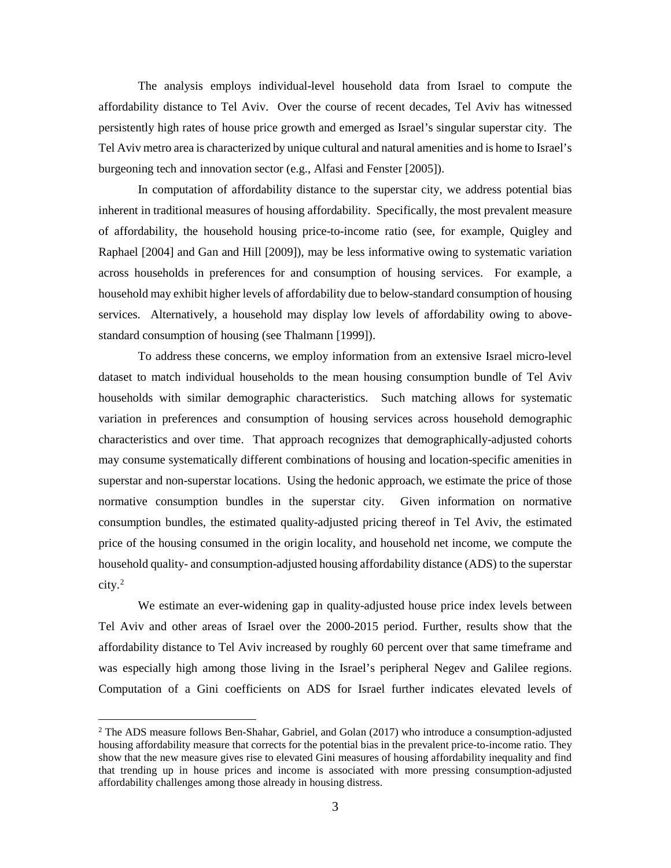The analysis employs individual-level household data from Israel to compute the affordability distance to Tel Aviv. Over the course of recent decades, Tel Aviv has witnessed persistently high rates of house price growth and emerged as Israel's singular superstar city. The Tel Aviv metro area is characterized by unique cultural and natural amenities and is home to Israel's burgeoning tech and innovation sector (e.g., Alfasi and Fenster [2005]).

In computation of affordability distance to the superstar city, we address potential bias inherent in traditional measures of housing affordability. Specifically, the most prevalent measure of affordability, the household housing price-to-income ratio (see, for example, Quigley and Raphael [2004] and Gan and Hill [2009]), may be less informative owing to systematic variation across households in preferences for and consumption of housing services. For example, a household may exhibit higher levels of affordability due to below-standard consumption of housing services. Alternatively, a household may display low levels of affordability owing to abovestandard consumption of housing (see Thalmann [1999]).

To address these concerns, we employ information from an extensive Israel micro-level dataset to match individual households to the mean housing consumption bundle of Tel Aviv households with similar demographic characteristics. Such matching allows for systematic variation in preferences and consumption of housing services across household demographic characteristics and over time. That approach recognizes that demographically-adjusted cohorts may consume systematically different combinations of housing and location-specific amenities in superstar and non-superstar locations. Using the hedonic approach, we estimate the price of those normative consumption bundles in the superstar city. Given information on normative consumption bundles, the estimated quality-adjusted pricing thereof in Tel Aviv, the estimated price of the housing consumed in the origin locality, and household net income, we compute the household quality- and consumption-adjusted housing affordability distance (ADS) to the superstar city. [2](#page-2-0)

We estimate an ever-widening gap in quality-adjusted house price index levels between Tel Aviv and other areas of Israel over the 2000-2015 period. Further, results show that the affordability distance to Tel Aviv increased by roughly 60 percent over that same timeframe and was especially high among those living in the Israel's peripheral Negev and Galilee regions. Computation of a Gini coefficients on ADS for Israel further indicates elevated levels of

<span id="page-2-0"></span> $2$  The ADS measure follows Ben-Shahar, Gabriel, and Golan (2017) who introduce a consumption-adjusted housing affordability measure that corrects for the potential bias in the prevalent price-to-income ratio. They show that the new measure gives rise to elevated Gini measures of housing affordability inequality and find that trending up in house prices and income is associated with more pressing consumption-adjusted affordability challenges among those already in housing distress.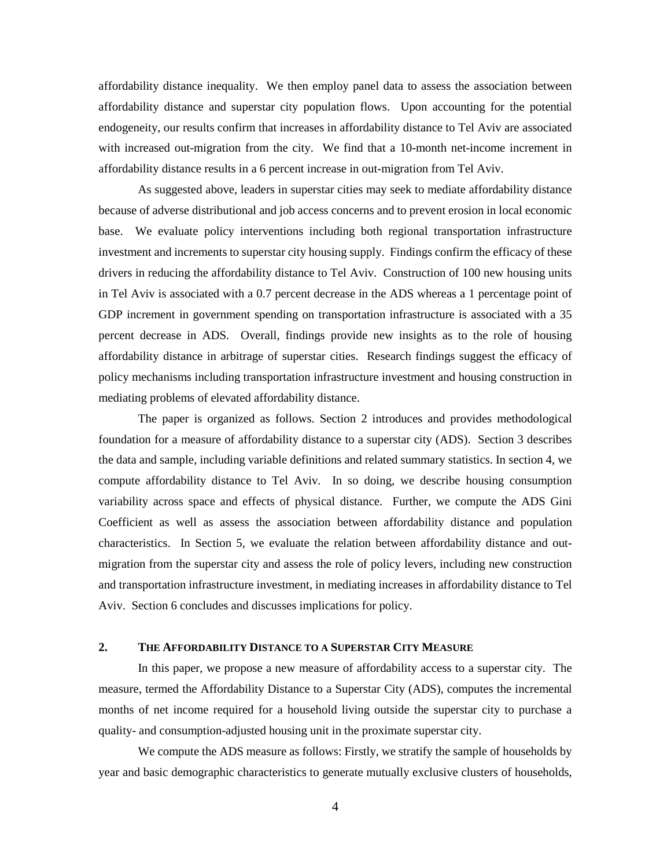affordability distance inequality. We then employ panel data to assess the association between affordability distance and superstar city population flows. Upon accounting for the potential endogeneity, our results confirm that increases in affordability distance to Tel Aviv are associated with increased out-migration from the city. We find that a 10-month net-income increment in affordability distance results in a 6 percent increase in out-migration from Tel Aviv.

As suggested above, leaders in superstar cities may seek to mediate affordability distance because of adverse distributional and job access concerns and to prevent erosion in local economic base. We evaluate policy interventions including both regional transportation infrastructure investment and increments to superstar city housing supply. Findings confirm the efficacy of these drivers in reducing the affordability distance to Tel Aviv. Construction of 100 new housing units in Tel Aviv is associated with a 0.7 percent decrease in the ADS whereas a 1 percentage point of GDP increment in government spending on transportation infrastructure is associated with a 35 percent decrease in ADS. Overall, findings provide new insights as to the role of housing affordability distance in arbitrage of superstar cities. Research findings suggest the efficacy of policy mechanisms including transportation infrastructure investment and housing construction in mediating problems of elevated affordability distance.

The paper is organized as follows. Section 2 introduces and provides methodological foundation for a measure of affordability distance to a superstar city (ADS). Section 3 describes the data and sample, including variable definitions and related summary statistics. In section 4, we compute affordability distance to Tel Aviv. In so doing, we describe housing consumption variability across space and effects of physical distance. Further, we compute the ADS Gini Coefficient as well as assess the association between affordability distance and population characteristics. In Section 5, we evaluate the relation between affordability distance and outmigration from the superstar city and assess the role of policy levers, including new construction and transportation infrastructure investment, in mediating increases in affordability distance to Tel Aviv. Section 6 concludes and discusses implications for policy.

## **2. THE AFFORDABILITY DISTANCE TO A SUPERSTAR CITY MEASURE**

In this paper, we propose a new measure of affordability access to a superstar city. The measure, termed the Affordability Distance to a Superstar City (ADS), computes the incremental months of net income required for a household living outside the superstar city to purchase a quality- and consumption-adjusted housing unit in the proximate superstar city.

We compute the ADS measure as follows: Firstly, we stratify the sample of households by year and basic demographic characteristics to generate mutually exclusive clusters of households,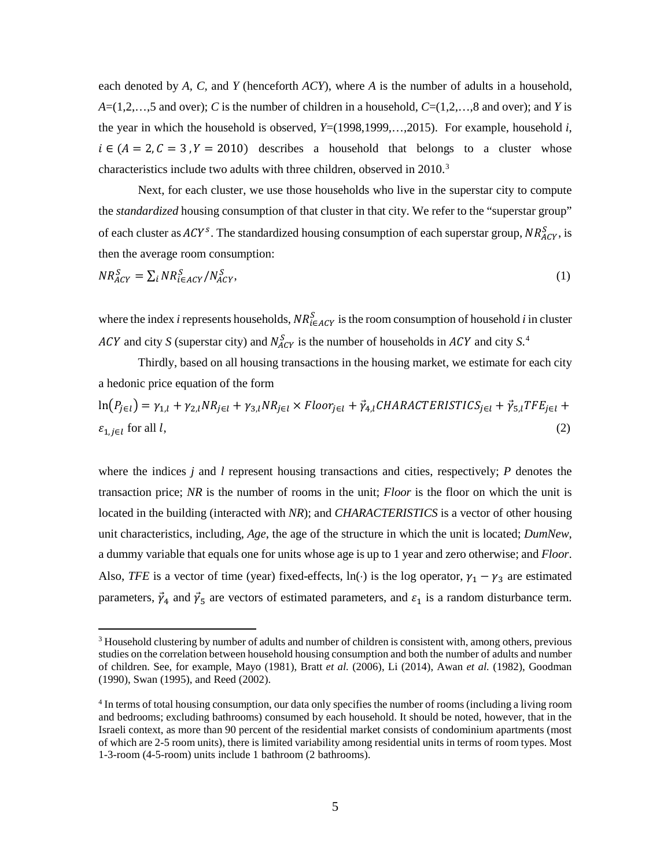each denoted by *A, C,* and *Y* (henceforth *ACY*), where *A* is the number of adults in a household,  $A=(1,2,\ldots,5)$  and over); *C* is the number of children in a household,  $C=(1,2,\ldots,8)$  and over); and *Y* is the year in which the household is observed,  $Y=(1998,1999,...,2015)$ . For example, household *i*,  $i \in (A = 2, C = 3, Y = 2010)$  describes a household that belongs to a cluster whose characteristics include two adults with three children, observed in 2010.<sup>[3](#page-4-0)</sup>

Next, for each cluster, we use those households who live in the superstar city to compute the *standardized* housing consumption of that cluster in that city. We refer to the "superstar group" of each cluster as  $ACY^s$ . The standardized housing consumption of each superstar group,  $NR_{ACY}^s$ , is then the average room consumption:

$$
NR_{ACY}^S = \sum_i NR_{i \in ACY}^S / N_{ACY}^S,\tag{1}
$$

where the index *i* represents households,  $NR_{i \in ACY}^S$  is the room consumption of household *i* in cluster *ACY* and city *S* (superstar city) and  $N_{ACY}^S$  is the number of households in *ACY* and city *S*.<sup>[4](#page-4-1)</sup>

Thirdly, based on all housing transactions in the housing market, we estimate for each city a hedonic price equation of the form

$$
\ln(P_{j\in l}) = \gamma_{1,l} + \gamma_{2,l} NR_{j\in l} + \gamma_{3,l} NR_{j\in l} \times Floor_{j\in l} + \vec{\gamma}_{4,l} CHARACTERISTICS_{j\in l} + \vec{\gamma}_{5,l} TFE_{j\in l} + \varepsilon_{1,j\in l} \text{ for all } l,
$$
\n
$$
(2)
$$

where the indices *j* and *l* represent housing transactions and cities, respectively; *P* denotes the transaction price; *NR* is the number of rooms in the unit; *Floor* is the floor on which the unit is located in the building (interacted with *NR*); and *CHARACTERISTICS* is a vector of other housing unit characteristics, including, *Age*, the age of the structure in which the unit is located; *DumNew*, a dummy variable that equals one for units whose age is up to 1 year and zero otherwise; and *Floor*. Also, *TFE* is a vector of time (year) fixed-effects, ln(·) is the log operator,  $\gamma_1 - \gamma_3$  are estimated parameters,  $\vec{\gamma}_4$  and  $\vec{\gamma}_5$  are vectors of estimated parameters, and  $\varepsilon_1$  is a random disturbance term.

<span id="page-4-0"></span> $3$  Household clustering by number of adults and number of children is consistent with, among others, previous studies on the correlation between household housing consumption and both the number of adults and number of children. See, for example, Mayo (1981), Bratt *et al.* (2006), Li (2014), Awan *et al.* (1982), Goodman (1990), Swan (1995), and Reed (2002).

<span id="page-4-1"></span><sup>4</sup> In terms of total housing consumption, our data only specifies the number of rooms (including a living room and bedrooms; excluding bathrooms) consumed by each household. It should be noted, however, that in the Israeli context, as more than 90 percent of the residential market consists of condominium apartments (most of which are 2-5 room units), there is limited variability among residential units in terms of room types. Most 1-3-room (4-5-room) units include 1 bathroom (2 bathrooms).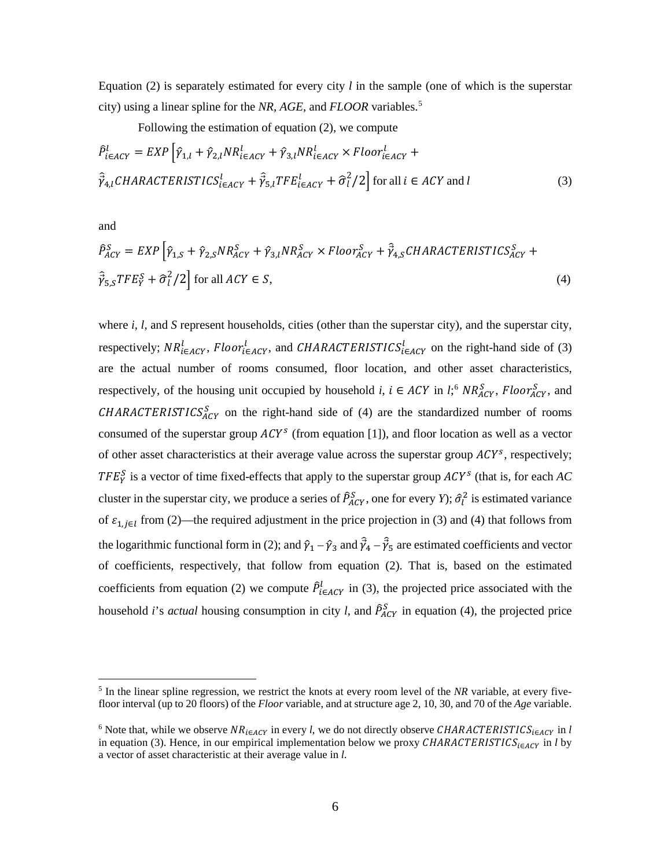Equation (2) is separately estimated for every city *l* in the sample (one of which is the superstar city) using a linear spline for the *NR*, *AGE*, and *FLOOR* variables. [5](#page-5-0)

Following the estimation of equation (2), we compute

$$
\hat{P}_{i\in ACT}^l = EXP\left[\hat{\gamma}_{1,l} + \hat{\gamma}_{2,l} NR_{i\in ACT}^l + \hat{\gamma}_{3,l} NR_{i\in ACT}^l \times Floor_{i\in ACT}^l + \hat{\gamma}_{4,l} CHARACTERISTICS_{i\in ACT}^l + \hat{\gamma}_{5,l} TFE_{i\in ACT}^l + \hat{\sigma}_l^2/2\right] \text{for all } i \in ACT and l
$$
\n(3)

and

$$
\hat{P}_{ACY}^{S} = EXP\left[\hat{\gamma}_{1,S} + \hat{\gamma}_{2,S} N R_{ACY}^{S} + \hat{\gamma}_{3,l} N R_{ACY}^{S} \times Floor_{ACY}^{S} + \hat{\vec{\gamma}}_{4,S} CHARACTERISTICS_{ACY}^{S} + \hat{\vec{\gamma}}_{5,S} TFE_{Y}^{S} + \hat{\sigma}_{l}^{2}/2\right] \text{ for all } ACY \in S,
$$
\n(4)

where *i*, *l*, and *S* represent households, cities (other than the superstar city), and the superstar city, respectively;  $NR_{i \in ACY}^l$ ,  $Floor_{i \in ACY}^l$ , and  $CHARACTERISTICS_{i \in ACY}^l$  on the right-hand side of (3) are the actual number of rooms consumed, floor location, and other asset characteristics, respectively, of the housing unit occupied by household *i*,  $i \in ACY$  in *l*;<sup>[6](#page-5-1)</sup>  $NR_{ACY}^S$ ,  $Floor_{ACY}^S$ , and  $CHARACTERISTICS<sub>ACY</sub><sup>S</sup>$  on the right-hand side of (4) are the standardized number of rooms consumed of the superstar group  $ACY<sup>s</sup>$  (from equation [1]), and floor location as well as a vector of other asset characteristics at their average value across the superstar group  $ACY^s$ , respectively;  $TFE_Y^S$  is a vector of time fixed-effects that apply to the superstar group  $ACY^S$  (that is, for each AC cluster in the superstar city, we produce a series of  $\hat{P}_{ACY}^S$ , one for every *Y*);  $\hat{\sigma}_l^2$  is estimated variance of  $\varepsilon_{1,i\in l}$  from (2)—the required adjustment in the price projection in (3) and (4) that follows from the logarithmic functional form in (2); and  $\hat{\gamma}_1 - \hat{\gamma}_3$  and  $\hat{\vec{\gamma}}_4 - \hat{\vec{\gamma}}_5$  are estimated coefficients and vector of coefficients, respectively, that follow from equation (2). That is, based on the estimated coefficients from equation (2) we compute  $\hat{P}_{i \in ACY}^{l}$  in (3), the projected price associated with the household *i*'s *actual* housing consumption in city *l*, and  $\hat{P}_{ACY}^S$  in equation (4), the projected price

<span id="page-5-0"></span> <sup>5</sup> In the linear spline regression, we restrict the knots at every room level of the *NR* variable, at every fivefloor interval (up to 20 floors) of the *Floor* variable, and at structure age 2, 10, 30, and 70 of the *Age* variable.

<span id="page-5-1"></span><sup>&</sup>lt;sup>6</sup> Note that, while we observe  $NR_{i \in ACY}$  in every *l*, we do not directly observe CHARACTERISTICS<sub>i $\in ACY$ </sub> in *l* in equation (3). Hence, in our empirical implementation below we proxy  $\mathcal{C}HARACTERISTICS_{i \in \mathcal{A}\mathcal{C}Y}$  in *l* by a vector of asset characteristic at their average value in *l*.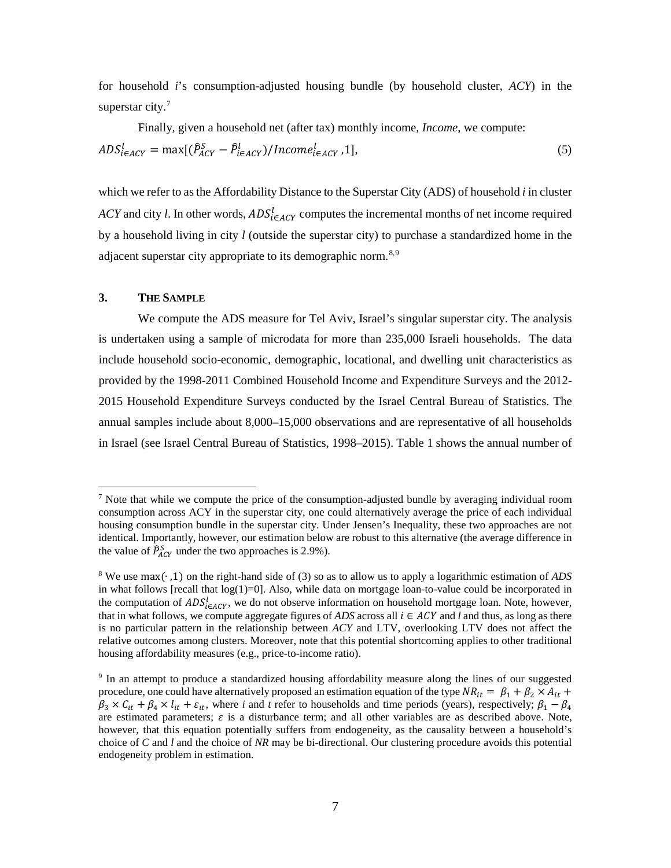for household *i*'s consumption-adjusted housing bundle (by household cluster, *ACY*) in the superstar city.<sup>[7](#page-6-0)</sup>

Finally, given a household net (after tax) monthly income, *Income*, we compute:

$$
ADSi\in ACTl = max[( $\hat{P}_{ACY}^S - \hat{P}_{i\in ACT}^l$ )/*Income<sub>i\in ACT</sub>*, 1],\n
$$
(5)
$$
$$

which we refer to as the Affordability Distance to the Superstar City (ADS) of household *i* in cluster *ACY* and city *l*. In other words,  $ADS_{i \in ACT}^l$  computes the incremental months of net income required by a household living in city *l* (outside the superstar city) to purchase a standardized home in the adjacent superstar city appropriate to its demographic norm.<sup>[8,](#page-6-1)[9](#page-6-2)</sup>

## **3. THE SAMPLE**

We compute the ADS measure for Tel Aviv, Israel's singular superstar city. The analysis is undertaken using a sample of microdata for more than 235,000 Israeli households. The data include household socio-economic, demographic, locational, and dwelling unit characteristics as provided by the 1998-2011 Combined Household Income and Expenditure Surveys and the 2012- 2015 Household Expenditure Surveys conducted by the Israel Central Bureau of Statistics. The annual samples include about 8,000–15,000 observations and are representative of all households in Israel (see Israel Central Bureau of Statistics, 1998–2015). Table 1 shows the annual number of

<span id="page-6-0"></span> <sup>7</sup> Note that while we compute the price of the consumption-adjusted bundle by averaging individual room consumption across ACY in the superstar city, one could alternatively average the price of each individual housing consumption bundle in the superstar city. Under Jensen's Inequality, these two approaches are not identical. Importantly, however, our estimation below are robust to this alternative (the average difference in the value of  $\hat{P}_{ACY}^S$  under the two approaches is 2.9%).

<span id="page-6-1"></span><sup>8</sup> We use max(∙ ,1) on the right-hand side of (3) so as to allow us to apply a logarithmic estimation of *ADS* in what follows [recall that  $log(1)=0$ ]. Also, while data on mortgage loan-to-value could be incorporated in the computation of  $ADS_{i \in ACY}^l$ , we do not observe information on household mortgage loan. Note, however, that in what follows, we compute aggregate figures of *ADS* across all  $i \in ACY$  and *l* and thus, as long as there is no particular pattern in the relationship between *ACY* and LTV, overlooking LTV does not affect the relative outcomes among clusters. Moreover, note that this potential shortcoming applies to other traditional housing affordability measures (e.g., price-to-income ratio).

<span id="page-6-2"></span><sup>9</sup> In an attempt to produce a standardized housing affordability measure along the lines of our suggested procedure, one could have alternatively proposed an estimation equation of the type  $NR_{it} = \beta_1 + \beta_2 \times A_{it} +$  $\beta_3 \times C_{it} + \beta_4 \times l_{it} + \varepsilon_{it}$ , where *i* and *t* refer to households and time periods (years), respectively;  $\beta_1 - \beta_4$ are estimated parameters;  $\varepsilon$  is a disturbance term; and all other variables are as described above. Note, however, that this equation potentially suffers from endogeneity, as the causality between a household's choice of *C* and *l* and the choice of *NR* may be bi-directional. Our clustering procedure avoids this potential endogeneity problem in estimation.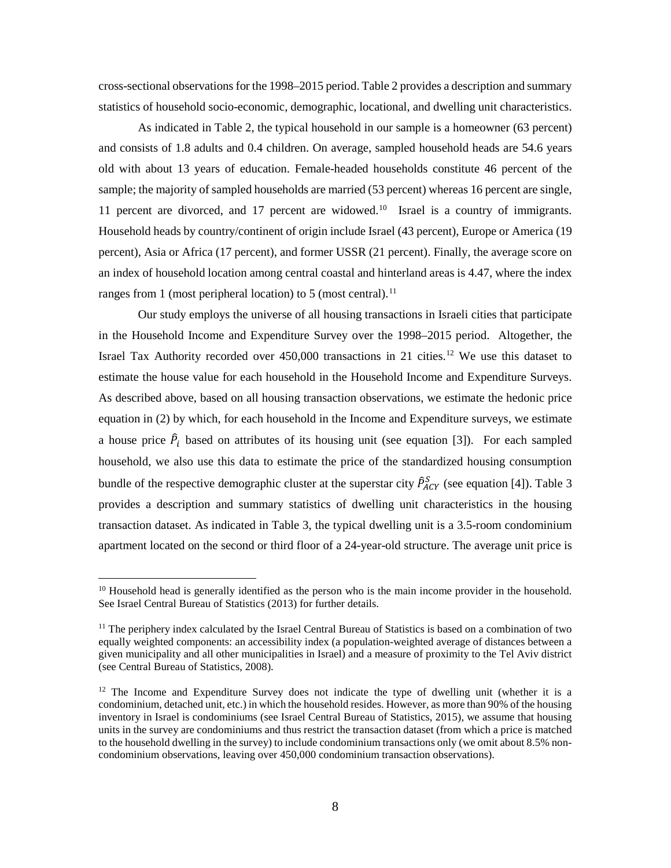cross-sectional observations for the 1998–2015 period. Table 2 provides a description and summary statistics of household socio-economic, demographic, locational, and dwelling unit characteristics.

As indicated in Table 2, the typical household in our sample is a homeowner (63 percent) and consists of 1.8 adults and 0.4 children. On average, sampled household heads are 54.6 years old with about 13 years of education. Female-headed households constitute 46 percent of the sample; the majority of sampled households are married (53 percent) whereas 16 percent are single, 11 percent are divorced, and 17 percent are widowed.<sup>[10](#page-7-0)</sup> Israel is a country of immigrants. Household heads by country/continent of origin include Israel (43 percent), Europe or America (19 percent), Asia or Africa (17 percent), and former USSR (21 percent). Finally, the average score on an index of household location among central coastal and hinterland areas is 4.47, where the index ranges from 1 (most peripheral location) to 5 (most central).<sup>[11](#page-7-1)</sup>

Our study employs the universe of all housing transactions in Israeli cities that participate in the Household Income and Expenditure Survey over the 1998–2015 period. Altogether, the Israel Tax Authority recorded over 450,000 transactions in 21 cities.<sup>[12](#page-7-2)</sup> We use this dataset to estimate the house value for each household in the Household Income and Expenditure Surveys. As described above, based on all housing transaction observations, we estimate the hedonic price equation in (2) by which, for each household in the Income and Expenditure surveys, we estimate a house price  $\hat{P}_i$  based on attributes of its housing unit (see equation [3]). For each sampled household, we also use this data to estimate the price of the standardized housing consumption bundle of the respective demographic cluster at the superstar city  $\hat{P}_{ACY}^S$  (see equation [4]). Table 3 provides a description and summary statistics of dwelling unit characteristics in the housing transaction dataset. As indicated in Table 3, the typical dwelling unit is a 3.5-room condominium apartment located on the second or third floor of a 24-year-old structure. The average unit price is

<span id="page-7-0"></span><sup>&</sup>lt;sup>10</sup> Household head is generally identified as the person who is the main income provider in the household. See Israel Central Bureau of Statistics (2013) for further details.

<span id="page-7-1"></span><sup>&</sup>lt;sup>11</sup> The periphery index calculated by the Israel Central Bureau of Statistics is based on a combination of two equally weighted components: an accessibility index (a population-weighted average of distances between a given municipality and all other municipalities in Israel) and a measure of proximity to the Tel Aviv district (see Central Bureau of Statistics, 2008).

<span id="page-7-2"></span> $12$  The Income and Expenditure Survey does not indicate the type of dwelling unit (whether it is a condominium, detached unit, etc.) in which the household resides. However, as more than 90% of the housing inventory in Israel is condominiums (see Israel Central Bureau of Statistics, 2015), we assume that housing units in the survey are condominiums and thus restrict the transaction dataset (from which a price is matched to the household dwelling in the survey) to include condominium transactions only (we omit about 8.5% noncondominium observations, leaving over 450,000 condominium transaction observations).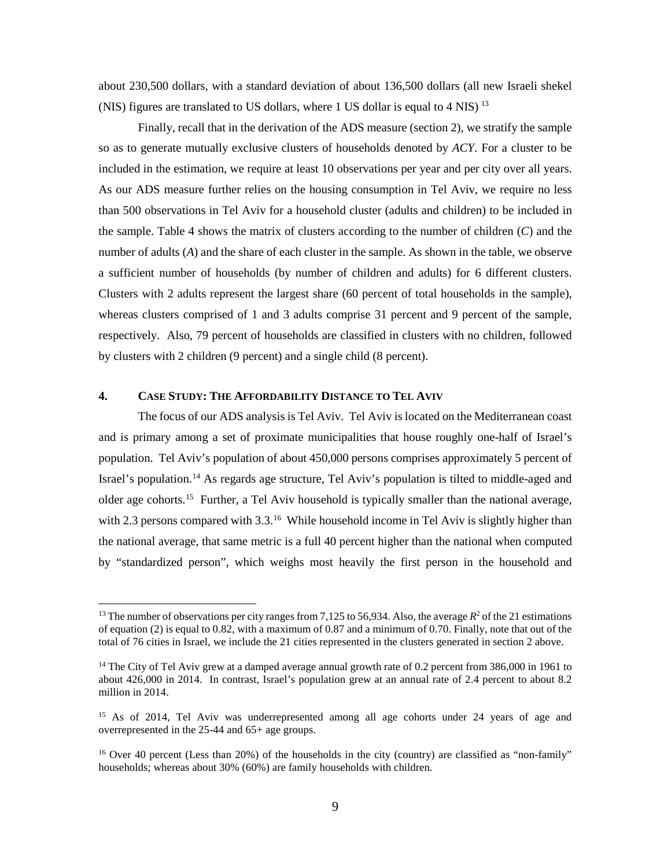about 230,500 dollars, with a standard deviation of about 136,500 dollars (all new Israeli shekel (NIS) figures are translated to US dollars, where 1 US dollar is equal to 4 NIS) [13](#page-8-0)

Finally, recall that in the derivation of the ADS measure (section 2), we stratify the sample so as to generate mutually exclusive clusters of households denoted by *ACY*. For a cluster to be included in the estimation, we require at least 10 observations per year and per city over all years. As our ADS measure further relies on the housing consumption in Tel Aviv, we require no less than 500 observations in Tel Aviv for a household cluster (adults and children) to be included in the sample. Table 4 shows the matrix of clusters according to the number of children (*C*) and the number of adults (*A*) and the share of each cluster in the sample. As shown in the table, we observe a sufficient number of households (by number of children and adults) for 6 different clusters. Clusters with 2 adults represent the largest share (60 percent of total households in the sample), whereas clusters comprised of 1 and 3 adults comprise 31 percent and 9 percent of the sample, respectively. Also, 79 percent of households are classified in clusters with no children, followed by clusters with 2 children (9 percent) and a single child (8 percent).

#### **4. CASE STUDY: THE AFFORDABILITY DISTANCE TO TEL AVIV**

The focus of our ADS analysis is Tel Aviv. Tel Aviv is located on the Mediterranean coast and is primary among a set of proximate municipalities that house roughly one-half of Israel's population. Tel Aviv's population of about 450,000 persons comprises approximately 5 percent of Israel's population.<sup>[14](#page-8-1)</sup> As regards age structure, Tel Aviv's population is tilted to middle-aged and older age cohorts.<sup>15</sup> Further, a Tel Aviv household is typically smaller than the national average, with 2.3 persons compared with 3.3.<sup>[16](#page-8-3)</sup> While household income in Tel Aviv is slightly higher than the national average, that same metric is a full 40 percent higher than the national when computed by "standardized person", which weighs most heavily the first person in the household and

<span id="page-8-0"></span><sup>&</sup>lt;sup>13</sup> The number of observations per city ranges from 7,125 to 56,934. Also, the average  $R^2$  of the 21 estimations of equation (2) is equal to 0.82, with a maximum of 0.87 and a minimum of 0.70. Finally, note that out of the total of 76 cities in Israel, we include the 21 cities represented in the clusters generated in section 2 above.

<span id="page-8-1"></span><sup>&</sup>lt;sup>14</sup> The City of Tel Aviv grew at a damped average annual growth rate of 0.2 percent from 386,000 in 1961 to about 426,000 in 2014. In contrast, Israel's population grew at an annual rate of 2.4 percent to about 8.2 million in 2014.

<span id="page-8-2"></span><sup>&</sup>lt;sup>15</sup> As of 2014, Tel Aviv was underrepresented among all age cohorts under 24 years of age and overrepresented in the 25-44 and 65+ age groups.

<span id="page-8-3"></span><sup>&</sup>lt;sup>16</sup> Over 40 percent (Less than 20%) of the households in the city (country) are classified as "non-family" households; whereas about 30% (60%) are family households with children.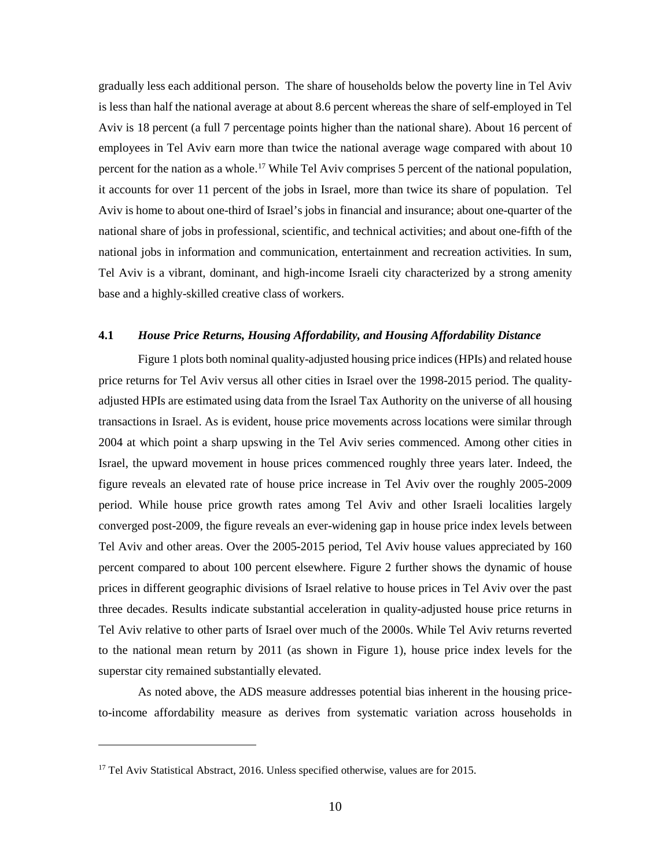gradually less each additional person. The share of households below the poverty line in Tel Aviv is less than half the national average at about 8.6 percent whereas the share of self-employed in Tel Aviv is 18 percent (a full 7 percentage points higher than the national share). About 16 percent of employees in Tel Aviv earn more than twice the national average wage compared with about 10 percent for the nation as a whole.<sup>[17](#page-9-0)</sup> While Tel Aviv comprises 5 percent of the national population, it accounts for over 11 percent of the jobs in Israel, more than twice its share of population. Tel Aviv is home to about one-third of Israel's jobs in financial and insurance; about one-quarter of the national share of jobs in professional, scientific, and technical activities; and about one-fifth of the national jobs in information and communication, entertainment and recreation activities. In sum, Tel Aviv is a vibrant, dominant, and high-income Israeli city characterized by a strong amenity base and a highly-skilled creative class of workers.

#### **4.1** *House Price Returns, Housing Affordability, and Housing Affordability Distance*

Figure 1 plots both nominal quality-adjusted housing price indices(HPIs) and related house price returns for Tel Aviv versus all other cities in Israel over the 1998-2015 period. The qualityadjusted HPIs are estimated using data from the Israel Tax Authority on the universe of all housing transactions in Israel. As is evident, house price movements across locations were similar through 2004 at which point a sharp upswing in the Tel Aviv series commenced. Among other cities in Israel, the upward movement in house prices commenced roughly three years later. Indeed, the figure reveals an elevated rate of house price increase in Tel Aviv over the roughly 2005-2009 period. While house price growth rates among Tel Aviv and other Israeli localities largely converged post-2009, the figure reveals an ever-widening gap in house price index levels between Tel Aviv and other areas. Over the 2005-2015 period, Tel Aviv house values appreciated by 160 percent compared to about 100 percent elsewhere. Figure 2 further shows the dynamic of house prices in different geographic divisions of Israel relative to house prices in Tel Aviv over the past three decades. Results indicate substantial acceleration in quality-adjusted house price returns in Tel Aviv relative to other parts of Israel over much of the 2000s. While Tel Aviv returns reverted to the national mean return by 2011 (as shown in Figure 1), house price index levels for the superstar city remained substantially elevated.

As noted above, the ADS measure addresses potential bias inherent in the housing priceto-income affordability measure as derives from systematic variation across households in

 $\overline{a}$ 

<span id="page-9-0"></span><sup>&</sup>lt;sup>17</sup> Tel Aviv Statistical Abstract, 2016. Unless specified otherwise, values are for 2015.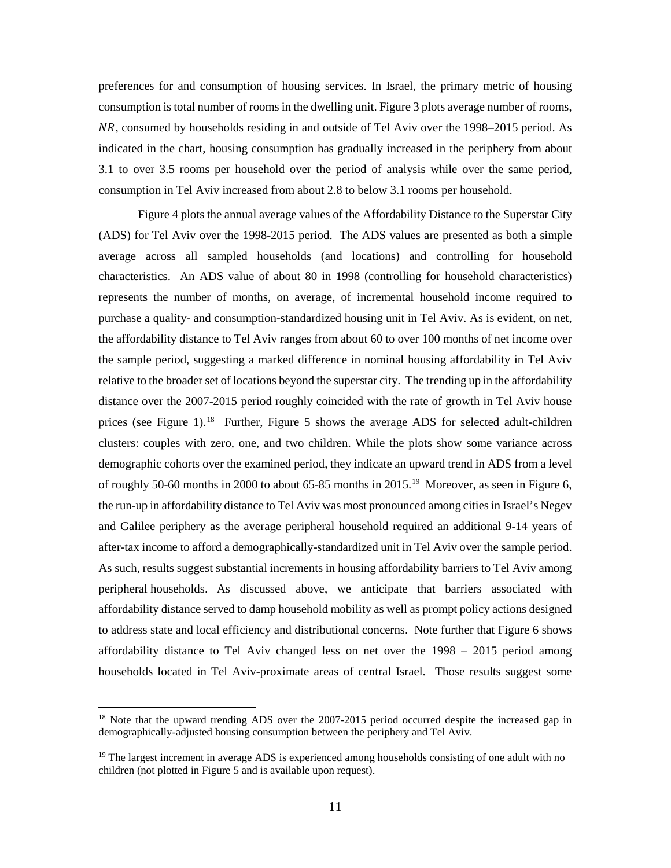preferences for and consumption of housing services. In Israel, the primary metric of housing consumption is total number of rooms in the dwelling unit. Figure 3 plots average number of rooms, NR, consumed by households residing in and outside of Tel Aviv over the 1998–2015 period. As indicated in the chart, housing consumption has gradually increased in the periphery from about 3.1 to over 3.5 rooms per household over the period of analysis while over the same period, consumption in Tel Aviv increased from about 2.8 to below 3.1 rooms per household.

Figure 4 plots the annual average values of the Affordability Distance to the Superstar City (ADS) for Tel Aviv over the 1998-2015 period. The ADS values are presented as both a simple average across all sampled households (and locations) and controlling for household characteristics. An ADS value of about 80 in 1998 (controlling for household characteristics) represents the number of months, on average, of incremental household income required to purchase a quality- and consumption-standardized housing unit in Tel Aviv. As is evident, on net, the affordability distance to Tel Aviv ranges from about 60 to over 100 months of net income over the sample period, suggesting a marked difference in nominal housing affordability in Tel Aviv relative to the broader set of locations beyond the superstar city. The trending up in the affordability distance over the 2007-2015 period roughly coincided with the rate of growth in Tel Aviv house prices (see Figure 1).<sup>18</sup> Further, Figure 5 shows the average ADS for selected adult-children clusters: couples with zero, one, and two children. While the plots show some variance across demographic cohorts over the examined period, they indicate an upward trend in ADS from a level of roughly 50-60 months in 2000 to about 65-85 months in 2015.<sup>[19](#page-10-1)</sup> Moreover, as seen in Figure 6, the run-up in affordability distance to Tel Aviv was most pronounced among cities in Israel's Negev and Galilee periphery as the average peripheral household required an additional 9-14 years of after-tax income to afford a demographically-standardized unit in Tel Aviv over the sample period. As such, results suggest substantial increments in housing affordability barriers to Tel Aviv among peripheral households. As discussed above, we anticipate that barriers associated with affordability distance served to damp household mobility as well as prompt policy actions designed to address state and local efficiency and distributional concerns. Note further that Figure 6 shows affordability distance to Tel Aviv changed less on net over the 1998 – 2015 period among households located in Tel Aviv-proximate areas of central Israel. Those results suggest some

<span id="page-10-0"></span><sup>&</sup>lt;sup>18</sup> Note that the upward trending ADS over the 2007-2015 period occurred despite the increased gap in demographically-adjusted housing consumption between the periphery and Tel Aviv.

<span id="page-10-1"></span> $19$  The largest increment in average ADS is experienced among households consisting of one adult with no children (not plotted in Figure 5 and is available upon request).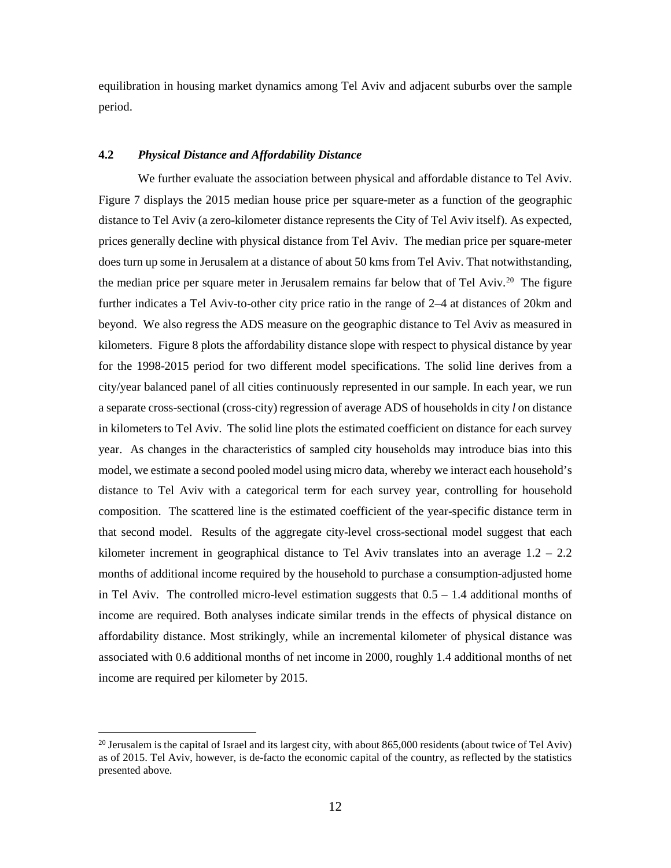equilibration in housing market dynamics among Tel Aviv and adjacent suburbs over the sample period.

#### **4.2** *Physical Distance and Affordability Distance*

We further evaluate the association between physical and affordable distance to Tel Aviv. Figure 7 displays the 2015 median house price per square-meter as a function of the geographic distance to Tel Aviv (a zero-kilometer distance represents the City of Tel Aviv itself). As expected, prices generally decline with physical distance from Tel Aviv. The median price per square-meter does turn up some in Jerusalem at a distance of about 50 kms from Tel Aviv. That notwithstanding, the median price per square meter in Jerusalem remains far below that of Tel Aviv.<sup>[20](#page-11-0)</sup> The figure further indicates a Tel Aviv-to-other city price ratio in the range of 2–4 at distances of 20km and beyond. We also regress the ADS measure on the geographic distance to Tel Aviv as measured in kilometers. Figure 8 plots the affordability distance slope with respect to physical distance by year for the 1998-2015 period for two different model specifications. The solid line derives from a city/year balanced panel of all cities continuously represented in our sample. In each year, we run a separate cross-sectional (cross-city) regression of average ADS of households in city *l* on distance in kilometers to Tel Aviv. The solid line plots the estimated coefficient on distance for each survey year. As changes in the characteristics of sampled city households may introduce bias into this model, we estimate a second pooled model using micro data, whereby we interact each household's distance to Tel Aviv with a categorical term for each survey year, controlling for household composition. The scattered line is the estimated coefficient of the year-specific distance term in that second model. Results of the aggregate city-level cross-sectional model suggest that each kilometer increment in geographical distance to Tel Aviv translates into an average  $1.2 - 2.2$ months of additional income required by the household to purchase a consumption-adjusted home in Tel Aviv. The controlled micro-level estimation suggests that  $0.5 - 1.4$  additional months of income are required. Both analyses indicate similar trends in the effects of physical distance on affordability distance. Most strikingly, while an incremental kilometer of physical distance was associated with 0.6 additional months of net income in 2000, roughly 1.4 additional months of net income are required per kilometer by 2015.

<span id="page-11-0"></span><sup>&</sup>lt;sup>20</sup> Jerusalem is the capital of Israel and its largest city, with about 865,000 residents (about twice of Tel Aviv) as of 2015. Tel Aviv, however, is de-facto the economic capital of the country, as reflected by the statistics presented above.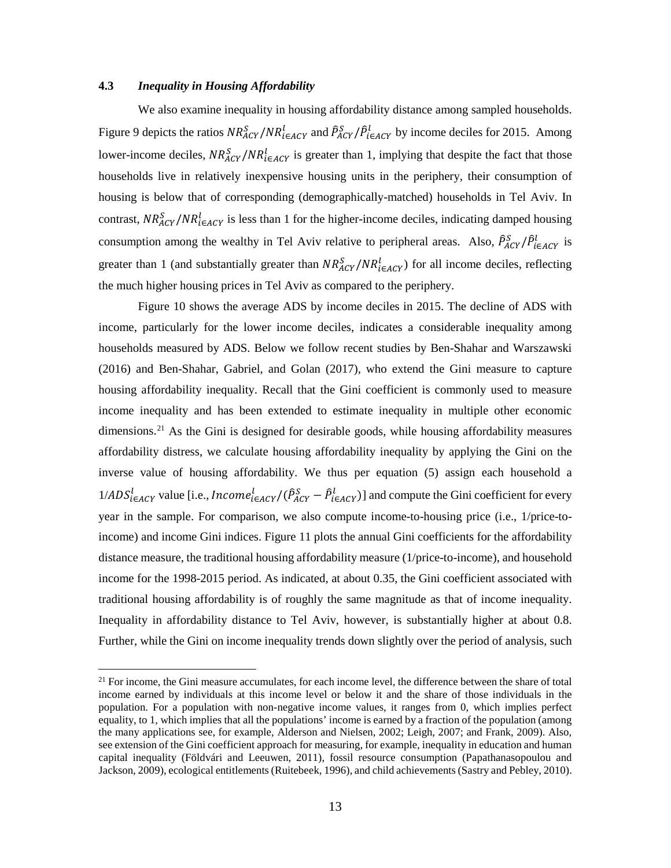#### **4.3** *Inequality in Housing Affordability*

We also examine inequality in housing affordability distance among sampled households. Figure 9 depicts the ratios  $NR_{AGY}^S/NR_{i\in AGY}^I$  and  $\hat{P}_{AGY}^S/\hat{P}_{i\in AGY}^I$  by income deciles for 2015. Among lower-income deciles,  $NR_{ACY}^S/NR_{i\in ACY}^I$  is greater than 1, implying that despite the fact that those households live in relatively inexpensive housing units in the periphery, their consumption of housing is below that of corresponding (demographically-matched) households in Tel Aviv. In contrast,  $NR_{ACY}^S/NR_{i\in ACY}^I$  is less than 1 for the higher-income deciles, indicating damped housing consumption among the wealthy in Tel Aviv relative to peripheral areas. Also,  $\hat{P}_{ACY}^S / \hat{P}_{i \in ACY}^L$  is greater than 1 (and substantially greater than  $NR_{ACY}^S/NR_{i\in ACY}^I$ ) for all income deciles, reflecting the much higher housing prices in Tel Aviv as compared to the periphery.

Figure 10 shows the average ADS by income deciles in 2015. The decline of ADS with income, particularly for the lower income deciles, indicates a considerable inequality among households measured by ADS. Below we follow recent studies by Ben-Shahar and Warszawski (2016) and Ben-Shahar, Gabriel, and Golan (2017), who extend the Gini measure to capture housing affordability inequality. Recall that the Gini coefficient is commonly used to measure income inequality and has been extended to estimate inequality in multiple other economic dimensions.<sup>[21](#page-12-0)</sup> As the Gini is designed for desirable goods, while housing affordability measures affordability distress, we calculate housing affordability inequality by applying the Gini on the inverse value of housing affordability. We thus per equation (5) assign each household a  $1/ADS_{i\in ACT}^l$  value [i.e., *Income* $_{i\in ACT}^l / (\hat{P}_{ACT}^S - \hat{P}_{i\in ACT}^l)$ ] and compute the Gini coefficient for every year in the sample. For comparison, we also compute income-to-housing price (i.e., 1/price-toincome) and income Gini indices. Figure 11 plots the annual Gini coefficients for the affordability distance measure, the traditional housing affordability measure (1/price-to-income), and household income for the 1998-2015 period. As indicated, at about 0.35, the Gini coefficient associated with traditional housing affordability is of roughly the same magnitude as that of income inequality. Inequality in affordability distance to Tel Aviv, however, is substantially higher at about 0.8. Further, while the Gini on income inequality trends down slightly over the period of analysis, such

<span id="page-12-0"></span><sup>&</sup>lt;sup>21</sup> For income, the Gini measure accumulates, for each income level, the difference between the share of total income earned by individuals at this income level or below it and the share of those individuals in the population. For a population with non-negative income values, it ranges from 0, which implies perfect equality, to 1, which implies that all the populations' income is earned by a fraction of the population (among the many applications see, for example, Alderson and Nielsen, 2002; Leigh, 2007; and Frank, 2009). Also, see extension of the Gini coefficient approach for measuring, for example, inequality in education and human capital inequality (Földvári and Leeuwen, 2011), fossil resource consumption (Papathanasopoulou and Jackson, 2009), ecological entitlements (Ruitebeek, 1996), and child achievements (Sastry and Pebley, 2010).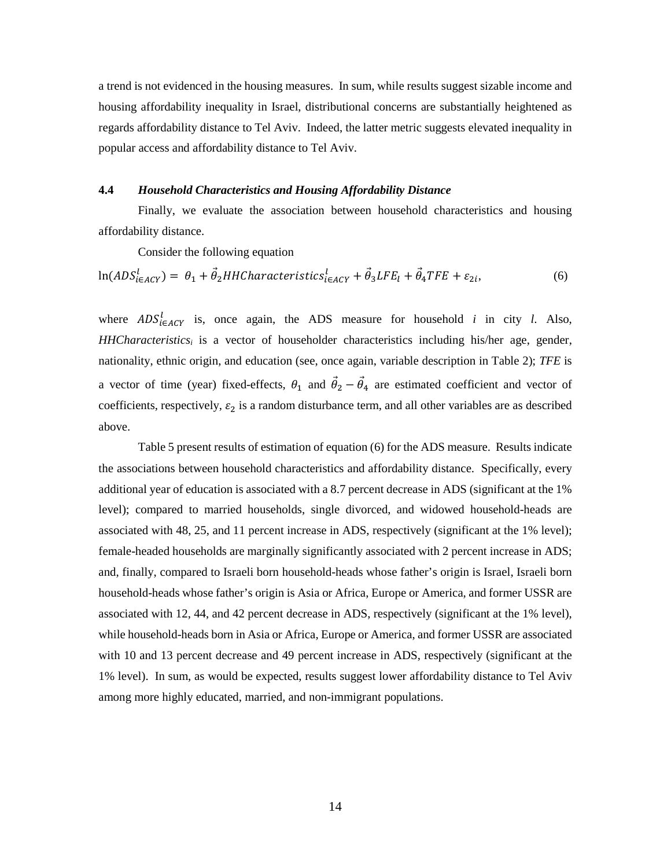a trend is not evidenced in the housing measures. In sum, while results suggest sizable income and housing affordability inequality in Israel, distributional concerns are substantially heightened as regards affordability distance to Tel Aviv. Indeed, the latter metric suggests elevated inequality in popular access and affordability distance to Tel Aviv.

## **4.4** *Household Characteristics and Housing Affordability Distance*

Finally, we evaluate the association between household characteristics and housing affordability distance.

Consider the following equation

$$
\ln(ADS_{i\in ACY}^l) = \theta_1 + \vec{\theta}_2 HHCharacteristics_{i\in ACY}^l + \vec{\theta}_3 LFE_l + \vec{\theta}_4 TFE + \varepsilon_{2i},\tag{6}
$$

where  $ADS<sup>l</sup><sub>i \in ACY</sub>$  is, once again, the ADS measure for household *i* in city *l*. Also, *HHCharacteristicsi* is a vector of householder characteristics including his/her age, gender, nationality, ethnic origin, and education (see, once again, variable description in Table 2); *TFE* is a vector of time (year) fixed-effects,  $\theta_1$  and  $\theta_2 - \theta_4$  are estimated coefficient and vector of coefficients, respectively,  $\varepsilon_2$  is a random disturbance term, and all other variables are as described above.

Table 5 present results of estimation of equation (6) for the ADS measure. Results indicate the associations between household characteristics and affordability distance. Specifically, every additional year of education is associated with a 8.7 percent decrease in ADS (significant at the 1% level); compared to married households, single divorced, and widowed household-heads are associated with 48, 25, and 11 percent increase in ADS, respectively (significant at the 1% level); female-headed households are marginally significantly associated with 2 percent increase in ADS; and, finally, compared to Israeli born household-heads whose father's origin is Israel, Israeli born household-heads whose father's origin is Asia or Africa, Europe or America, and former USSR are associated with 12, 44, and 42 percent decrease in ADS, respectively (significant at the 1% level), while household-heads born in Asia or Africa, Europe or America, and former USSR are associated with 10 and 13 percent decrease and 49 percent increase in ADS, respectively (significant at the 1% level). In sum, as would be expected, results suggest lower affordability distance to Tel Aviv among more highly educated, married, and non-immigrant populations.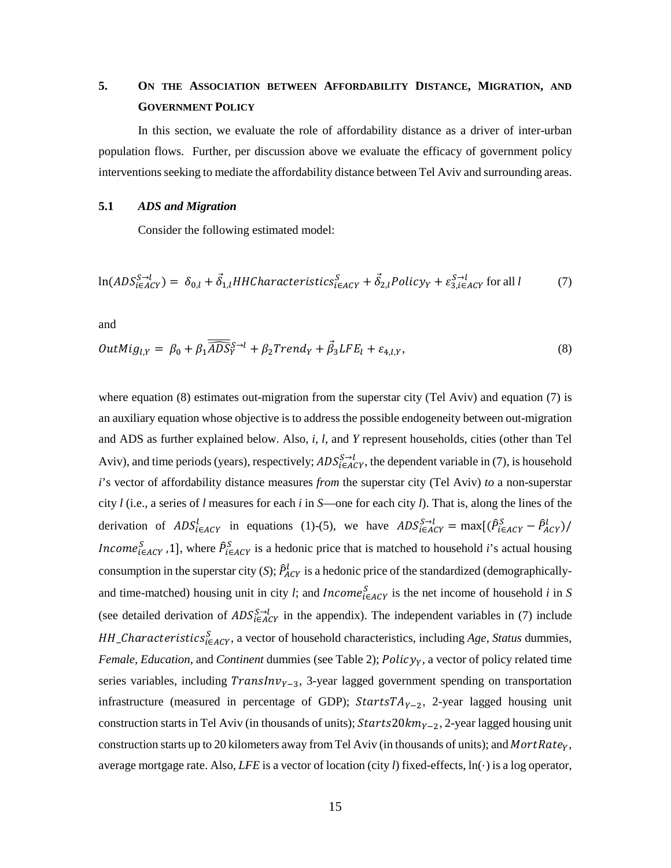## **5. ON THE ASSOCIATION BETWEEN AFFORDABILITY DISTANCE, MIGRATION, AND GOVERNMENT POLICY**

In this section, we evaluate the role of affordability distance as a driver of inter-urban population flows. Further, per discussion above we evaluate the efficacy of government policy interventions seeking to mediate the affordability distance between Tel Aviv and surrounding areas.

## **5.1** *ADS and Migration*

Consider the following estimated model:

$$
\ln(ADS_{i\in ACY}^{S\to l}) = \delta_{0,l} + \vec{\delta}_{1,l} HHCharacteristics_{i\in ACY}^S + \vec{\delta}_{2,l} Policy_Y + \varepsilon_{3,i\in ACY}^{S\to l}
$$
 for all l (7)

and

$$
OutMig_{l,Y} = \beta_0 + \beta_1 \overline{\widehat{ADS}}_Y^{S \to l} + \beta_2 Trend_Y + \overrightarrow{\beta}_3 LFE_l + \varepsilon_{4,l,Y},
$$
\n(8)

where equation (8) estimates out-migration from the superstar city (Tel Aviv) and equation (7) is an auxiliary equation whose objective is to address the possible endogeneity between out-migration and ADS as further explained below. Also, *i*, *l*, and *Y* represent households, cities (other than Tel Aviv), and time periods (years), respectively;  $ADS_{\epsilon AGY}^{S \to l}$ , the dependent variable in (7), is household *i*'s vector of affordability distance measures *from* the superstar city (Tel Aviv) *to* a non-superstar city *l* (i.e., a series of *l* measures for each *i* in *S*—one for each city *l*). That is, along the lines of the derivation of  $ADS_{i \in ACY}^l$  in equations (1)-(5), we have  $ADS_{i \in ACY}^{S \to l} = \max[(\hat{P}_{i \in ACY}^S - \hat{P}_{ACY}^l)/$ *ncome*<sup>S</sup><sub>iEACY</sub>, 1, where  $\hat{P}_{i\in ACY}^S$  is a hedonic price that is matched to household *i*'s actual housing consumption in the superstar city (*S*);  $\hat{P}_{ACY}^{l}$  is a hedonic price of the standardized (demographicallyand time-matched) housing unit in city *l*; and *Income*<sup>*S*</sup><sub>*i*∈*AcY*</sub> is the net income of household *i* in *S* (see detailed derivation of  $ADS_{i \in ACT}^{S \to l}$  in the appendix). The independent variables in (7) include \_ℎ ∈ , a vector of household characteristics, including *Age, Status* dummies, *Female, Education, and Continent dummies (see Table 2); Policy<sub>Y</sub>, a vector of policy related time* series variables, including  $TransInv_{Y-3}$ , 3-year lagged government spending on transportation infrastructure (measured in percentage of GDP);  $StartsTA_{Y-2}$ , 2-year lagged housing unit construction starts in Tel Aviv (in thousands of units);  $Starts20km_{Y-2}$ , 2-year lagged housing unit construction starts up to 20 kilometers away from Tel Aviv (in thousands of units); and  $MortRate<sub>y</sub>$ , average mortgage rate. Also, *LFE* is a vector of location (city *l*) fixed-effects, ln(·) is a log operator,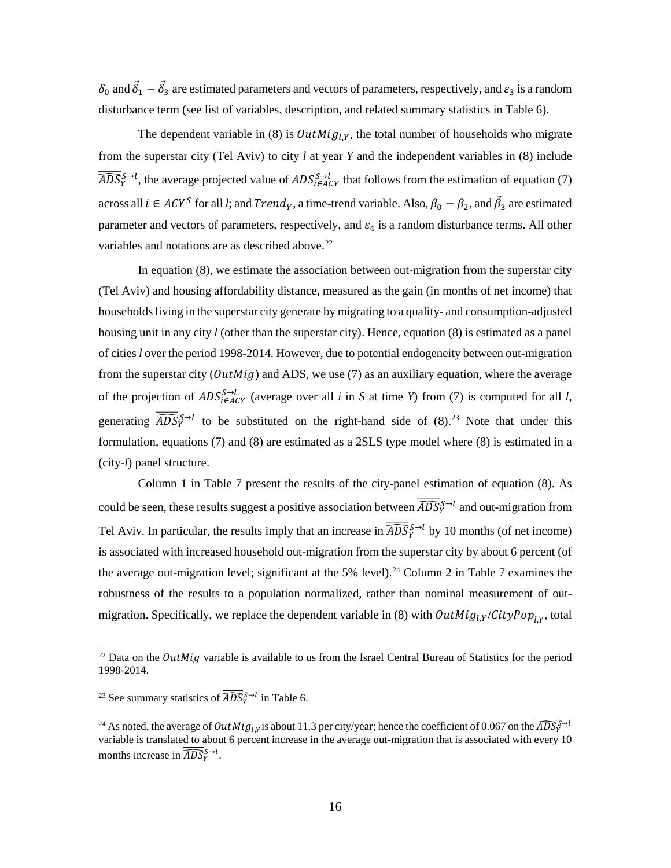$\delta_0$  and  $\delta_1 - \delta_3$  are estimated parameters and vectors of parameters, respectively, and  $\varepsilon_3$  is a random disturbance term (see list of variables, description, and related summary statistics in Table 6).

The dependent variable in (8) is  $OutMig_{LY}$ , the total number of households who migrate from the superstar city (Tel Aviv) to city *l* at year *Y* and the independent variables in (8) include  $\widehat{ADS}_{Y}^{S \to l}$ , the average projected value of  $ADS_{i \in ACT}^{S \to l}$  that follows from the estimation of equation (7) across all  $i \in ACY^S$  for all *l*; and  $Trend_Y$ , a time-trend variable. Also,  $\beta_0 - \beta_2$ , and  $\beta_3$  are estimated parameter and vectors of parameters, respectively, and  $\varepsilon_4$  is a random disturbance terms. All other variables and notations are as described above.<sup>[22](#page-15-0)</sup>

In equation (8), we estimate the association between out-migration from the superstar city (Tel Aviv) and housing affordability distance, measured as the gain (in months of net income) that householdsliving in the superstar city generate by migrating to a quality- and consumption-adjusted housing unit in any city *l* (other than the superstar city). Hence, equation (8) is estimated as a panel of cities *l* over the period 1998-2014. However, due to potential endogeneity between out-migration from the superstar city ( $OutMig$ ) and ADS, we use (7) as an auxiliary equation, where the average of the projection of  $ADS_{i \in ACT}^{S \to l}$  (average over all *i* in *S* at time *Y*) from (7) is computed for all *l*, generating  $\overline{\widehat{ADS}}_Y^{S\to l}$  to be substituted on the right-hand side of (8).<sup>[23](#page-15-1)</sup> Note that under this formulation, equations (7) and (8) are estimated as a 2SLS type model where (8) is estimated in a (city-*l*) panel structure.

Column 1 in Table 7 present the results of the city-panel estimation of equation (8). As could be seen, these results suggest a positive association between  $\overline{\widehat{ADS}}_Y^{S\to l}$  and out-migration from Tel Aviv. In particular, the results imply that an increase in  $\overline{\widehat{ADS}}_{Y}^{S\rightarrow l}$  by 10 months (of net income) is associated with increased household out-migration from the superstar city by about 6 percent (of the average out-migration level; significant at the 5% level).<sup>[24](#page-15-2)</sup> Column 2 in Table 7 examines the robustness of the results to a population normalized, rather than nominal measurement of outmigration. Specifically, we replace the dependent variable in (8) with  $OutMig_{l,Y}/CityPop_{l,Y}$ , total

<span id="page-15-0"></span><sup>&</sup>lt;sup>22</sup> Data on the *OutMig* variable is available to us from the Israel Central Bureau of Statistics for the period 1998-2014.

<span id="page-15-1"></span><sup>&</sup>lt;sup>23</sup> See summary statistics of  $\overline{\widehat{ADS}}_Y^{S\rightarrow l}$  in Table 6.

<span id="page-15-2"></span><sup>&</sup>lt;sup>24</sup> As noted, the average of  $OutMig_{l,Y}$  is about 11.3 per city/year; hence the coefficient of 0.067 on the  $\overline{ADS}_{Y}^{S\to l}$ variable is translated to about 6 percent increase in the average out-migration that is associated with every 10 months increase in  $\widehat{ADS}^{S \rightarrow l}_{Y}$ .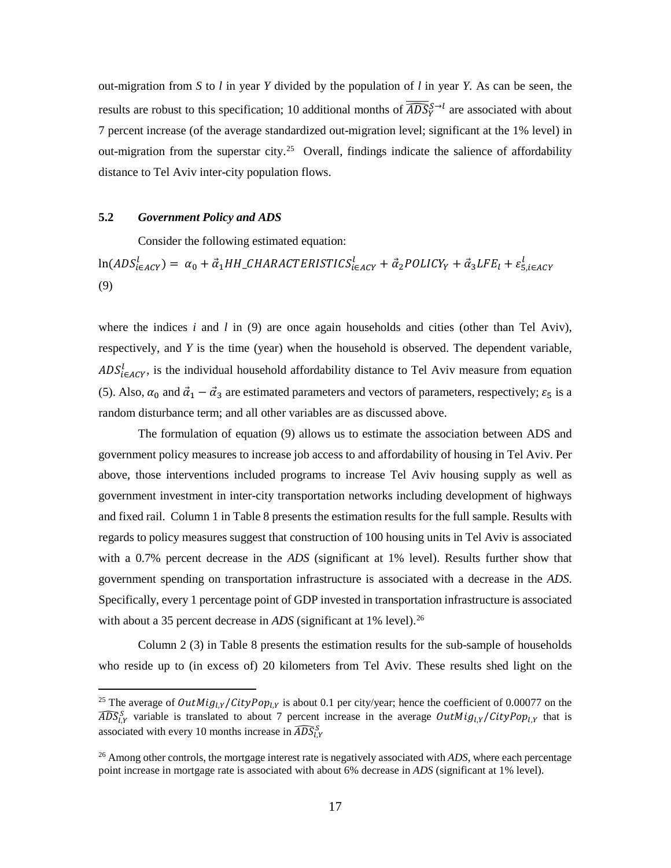out-migration from *S* to *l* in year *Y* divided by the population of *l* in year *Y.* As can be seen, the results are robust to this specification; 10 additional months of  $\overline{\widehat{ADS}}_{\nu}^{S \to l}$  are associated with about 7 percent increase (of the average standardized out-migration level; significant at the 1% level) in out-migration from the superstar city.<sup>25</sup> Overall, findings indicate the salience of affordability distance to Tel Aviv inter-city population flows.

## **5.2** *Government Policy and ADS*

Consider the following estimated equation:

 $\ln(ADS_{\epsilon AGY}^l) = \alpha_0 + \vec{\alpha}_1 HH\_CHARACTERISTICS_{\epsilon AGY}^l + \vec{\alpha}_2 POLICY_Y + \vec{\alpha}_3 LFE_l + \epsilon_{5, \epsilon AGY}^l$ (9)

where the indices  $i$  and  $l$  in (9) are once again households and cities (other than Tel Aviv), respectively, and *Y* is the time (year) when the household is observed. The dependent variable,  $ADS<sub>i\in ACY</sub>$ , is the individual household affordability distance to Tel Aviv measure from equation (5). Also,  $\alpha_0$  and  $\vec{a}_1 - \vec{a}_3$  are estimated parameters and vectors of parameters, respectively;  $\varepsilon_5$  is a random disturbance term; and all other variables are as discussed above.

The formulation of equation (9) allows us to estimate the association between ADS and government policy measures to increase job access to and affordability of housing in Tel Aviv. Per above, those interventions included programs to increase Tel Aviv housing supply as well as government investment in inter-city transportation networks including development of highways and fixed rail. Column 1 in Table 8 presents the estimation results for the full sample. Results with regards to policy measures suggest that construction of 100 housing units in Tel Aviv is associated with a 0.7% percent decrease in the *ADS* (significant at 1% level). Results further show that government spending on transportation infrastructure is associated with a decrease in the *ADS*. Specifically, every 1 percentage point of GDP invested in transportation infrastructure is associated with about a 35 percent decrease in *ADS* (significant at 1% level).<sup>[26](#page-16-1)</sup>

Column 2 (3) in Table 8 presents the estimation results for the sub-sample of households who reside up to (in excess of) 20 kilometers from Tel Aviv. These results shed light on the

<span id="page-16-0"></span><sup>&</sup>lt;sup>25</sup> The average of  $OutMig_{l,Y}/CityPop_{l,Y}$  is about 0.1 per city/year; hence the coefficient of 0.00077 on the  $\widehat{ADS}_{l,Y}^S$  variable is translated to about 7 percent increase in the average  $OutMig_{l,Y}/CityPop_{l,Y}$  that is associated with every 10 months increase in  $\widehat{ADS}_{l}^S$ ,

<span id="page-16-1"></span><sup>26</sup> Among other controls, the mortgage interest rate is negatively associated with *ADS*, where each percentage point increase in mortgage rate is associated with about 6% decrease in *ADS* (significant at 1% level).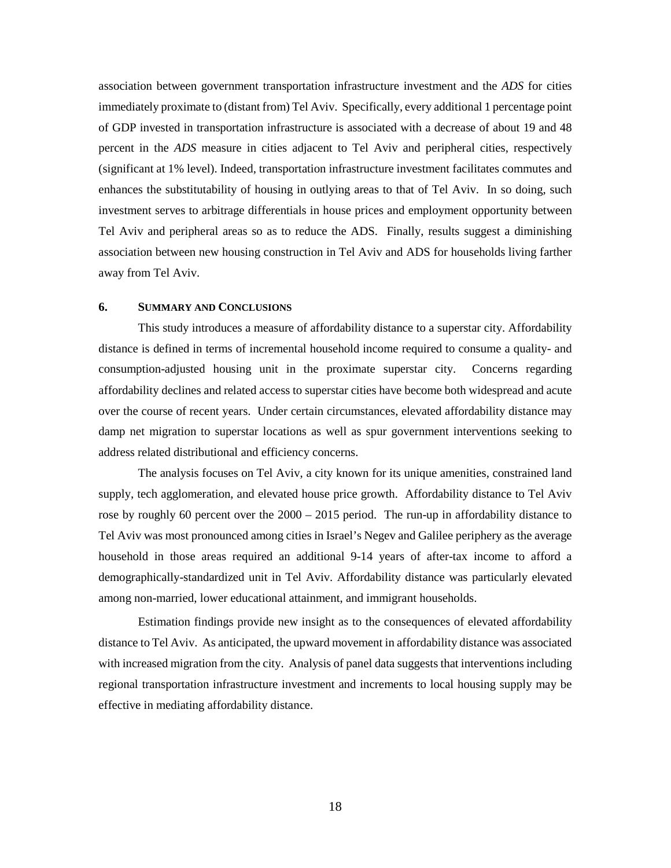association between government transportation infrastructure investment and the *ADS* for cities immediately proximate to (distant from) Tel Aviv. Specifically, every additional 1 percentage point of GDP invested in transportation infrastructure is associated with a decrease of about 19 and 48 percent in the *ADS* measure in cities adjacent to Tel Aviv and peripheral cities, respectively (significant at 1% level). Indeed, transportation infrastructure investment facilitates commutes and enhances the substitutability of housing in outlying areas to that of Tel Aviv. In so doing, such investment serves to arbitrage differentials in house prices and employment opportunity between Tel Aviv and peripheral areas so as to reduce the ADS. Finally, results suggest a diminishing association between new housing construction in Tel Aviv and ADS for households living farther away from Tel Aviv.

## **6. SUMMARY AND CONCLUSIONS**

This study introduces a measure of affordability distance to a superstar city. Affordability distance is defined in terms of incremental household income required to consume a quality- and consumption-adjusted housing unit in the proximate superstar city. Concerns regarding affordability declines and related access to superstar cities have become both widespread and acute over the course of recent years. Under certain circumstances, elevated affordability distance may damp net migration to superstar locations as well as spur government interventions seeking to address related distributional and efficiency concerns.

The analysis focuses on Tel Aviv, a city known for its unique amenities, constrained land supply, tech agglomeration, and elevated house price growth. Affordability distance to Tel Aviv rose by roughly 60 percent over the 2000 – 2015 period. The run-up in affordability distance to Tel Aviv was most pronounced among cities in Israel's Negev and Galilee periphery as the average household in those areas required an additional 9-14 years of after-tax income to afford a demographically-standardized unit in Tel Aviv. Affordability distance was particularly elevated among non-married, lower educational attainment, and immigrant households.

Estimation findings provide new insight as to the consequences of elevated affordability distance to Tel Aviv. As anticipated, the upward movement in affordability distance was associated with increased migration from the city. Analysis of panel data suggests that interventions including regional transportation infrastructure investment and increments to local housing supply may be effective in mediating affordability distance.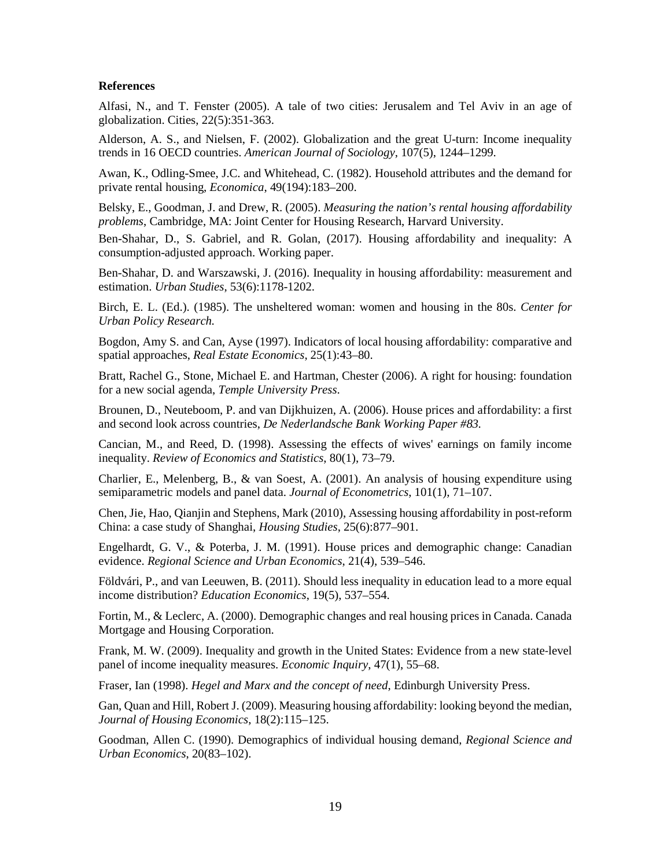#### **References**

Alfasi, N., and T. Fenster (2005). A tale of two cities: Jerusalem and Tel Aviv in an age of globalization. Cities, 22(5):351-363.

Alderson, A. S., and Nielsen, F. (2002). Globalization and the great U-turn: Income inequality trends in 16 OECD countries. *American Journal of Sociology*, 107(5), 1244–1299.

Awan, K., Odling-Smee, J.C. and Whitehead, C. (1982). Household attributes and the demand for private rental housing, *Economica*, 49(194):183–200.

Belsky, E., Goodman, J. and Drew, R. (2005). *Measuring the nation's rental housing affordability problems*, Cambridge, MA: Joint Center for Housing Research, Harvard University.

Ben-Shahar, D., S. Gabriel, and R. Golan, (2017). Housing affordability and inequality: A consumption-adjusted approach. Working paper.

Ben-Shahar, D. and Warszawski, J. (2016). Inequality in housing affordability: measurement and estimation. *Urban Studies*, 53(6):1178-1202.

Birch, E. L. (Ed.). (1985). The unsheltered woman: women and housing in the 80s. *Center for Urban Policy Research.*

Bogdon, Amy S. and Can, Ayse (1997). Indicators of local housing affordability: comparative and spatial approaches, *Real Estate Economics*, 25(1):43–80.

Bratt, Rachel G., Stone, Michael E. and Hartman, Chester (2006). A right for housing: foundation for a new social agenda, *Temple University Press*.

Brounen, D., Neuteboom, P. and van Dijkhuizen, A. (2006). House prices and affordability: a first and second look across countries, *De Nederlandsche Bank Working Paper #83.*

Cancian, M., and Reed, D. (1998). Assessing the effects of wives' earnings on family income inequality. *Review of Economics and Statistics*, 80(1), 73–79.

Charlier, E., Melenberg, B., & van Soest, A. (2001). An analysis of housing expenditure using semiparametric models and panel data. *Journal of Econometrics*, 101(1), 71–107.

Chen, Jie, Hao, Qianjin and Stephens, Mark (2010), Assessing housing affordability in post-reform China: a case study of Shanghai, *Housing Studies*, 25(6):877–901.

Engelhardt, G. V., & Poterba, J. M. (1991). House prices and demographic change: Canadian evidence. *Regional Science and Urban Economics*, 21(4), 539–546.

Földvári, P., and van Leeuwen, B. (2011). Should less inequality in education lead to a more equal income distribution? *Education Economics*, 19(5), 537–554.

Fortin, M., & Leclerc, A. (2000). Demographic changes and real housing prices in Canada. Canada Mortgage and Housing Corporation.

Frank, M. W. (2009). Inequality and growth in the United States: Evidence from a new state-level panel of income inequality measures. *Economic Inquiry*, 47(1), 55–68.

Fraser, Ian (1998). *Hegel and Marx and the concept of need*, Edinburgh University Press.

Gan, Quan and Hill, Robert J. (2009). Measuring housing affordability: looking beyond the median, *[Journal of Housing Economics](http://www.sciencedirect.com/science/journal/10511377)*, 18(2):115–125.

Goodman, Allen C. (1990). Demographics of individual housing demand, *Regional Science and Urban Economics*, 20(83–102).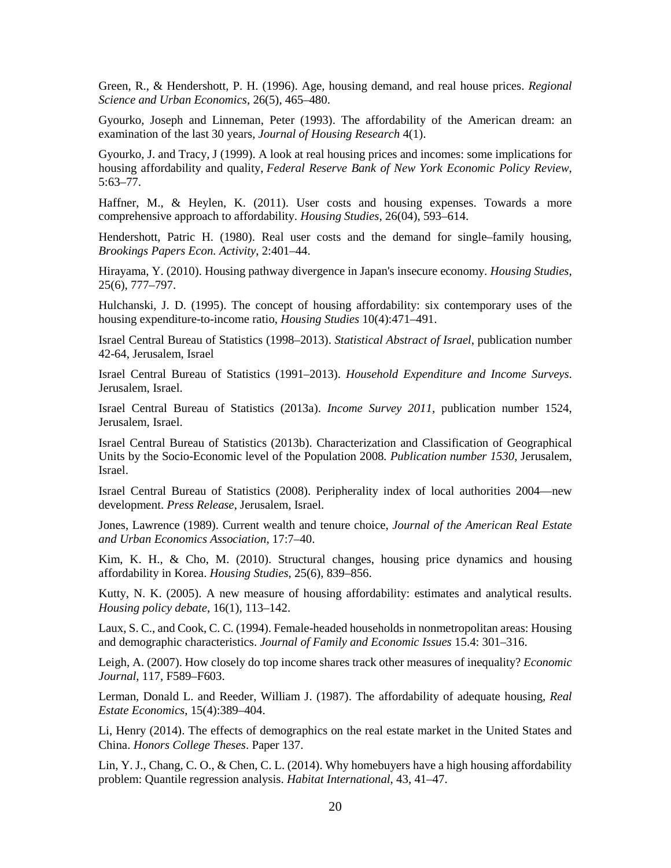Green, R., & Hendershott, P. H. (1996). Age, housing demand, and real house prices. *Regional Science and Urban Economics*, 26(5), 465–480.

Gyourko, Joseph and Linneman, Peter (1993). The affordability of the American dream: an examination of the last 30 years, *Journal of Housing Research* 4(1).

Gyourko, J. and Tracy, J (1999). A look at real housing prices and incomes: some implications for housing affordability and quality, *Federal Reserve Bank of New York Economic Policy Review*, 5:63–77.

Haffner, M., & Heylen, K. (2011). User costs and housing expenses. Towards a more comprehensive approach to affordability. *Housing Studies*, 26(04), 593–614.

Hendershott, Patric H. (1980). Real user costs and the demand for single–family housing, *Brookings Papers Econ. Activity*, 2:401–44.

Hirayama, Y. (2010). Housing pathway divergence in Japan's insecure economy. *Housing Studies*, 25(6), 777–797.

Hulchanski, J. D. (1995). The concept of housing affordability: six contemporary uses of the housing expenditure-to-income ratio, *Housing Studies* 10(4):471–491.

Israel Central Bureau of Statistics (1998–2013). *Statistical Abstract of Israel*, publication number 42-64, Jerusalem, Israel

Israel Central Bureau of Statistics (1991–2013). *Household Expenditure and Income Surveys*. Jerusalem, Israel.

Israel Central Bureau of Statistics (2013a). *Income Survey 2011*, publication number 1524, Jerusalem, Israel.

Israel Central Bureau of Statistics (2013b). Characterization and Classification of Geographical Units by the Socio-Economic level of the Population 2008*. Publication number 1530*, Jerusalem, Israel.

Israel Central Bureau of Statistics (2008). Peripherality index of local authorities 2004—new development. *Press Release*, Jerusalem, Israel.

Jones, Lawrence (1989). Current wealth and tenure choice, *Journal of the American Real Estate and Urban Economics Association*, 17:7–40.

Kim, K. H., & Cho, M. (2010). Structural changes, housing price dynamics and housing affordability in Korea. *Housing Studies*, 25(6), 839–856.

Kutty, N. K. (2005). A new measure of housing affordability: estimates and analytical results. *Housing policy debate*, 16(1), 113–142.

Laux, S. C., and Cook, C. C. (1994). Female-headed households in nonmetropolitan areas: Housing and demographic characteristics. *Journal of Family and Economic Issues* 15.4: 301–316.

Leigh, A. (2007). How closely do top income shares track other measures of inequality? *Economic Journal*, 117, F589–F603.

Lerman, Donald L. and Reeder, William J. (1987). The affordability of adequate housing, *Real Estate Economics*, 15(4):389–404.

Li, Henry (2014). The effects of demographics on the real estate market in the United States and China. *Honors College Theses*. Paper 137.

Lin, Y. J., Chang, C. O., & Chen, C. L. (2014). Why homebuyers have a high housing affordability problem: Quantile regression analysis. *Habitat International*, 43, 41–47.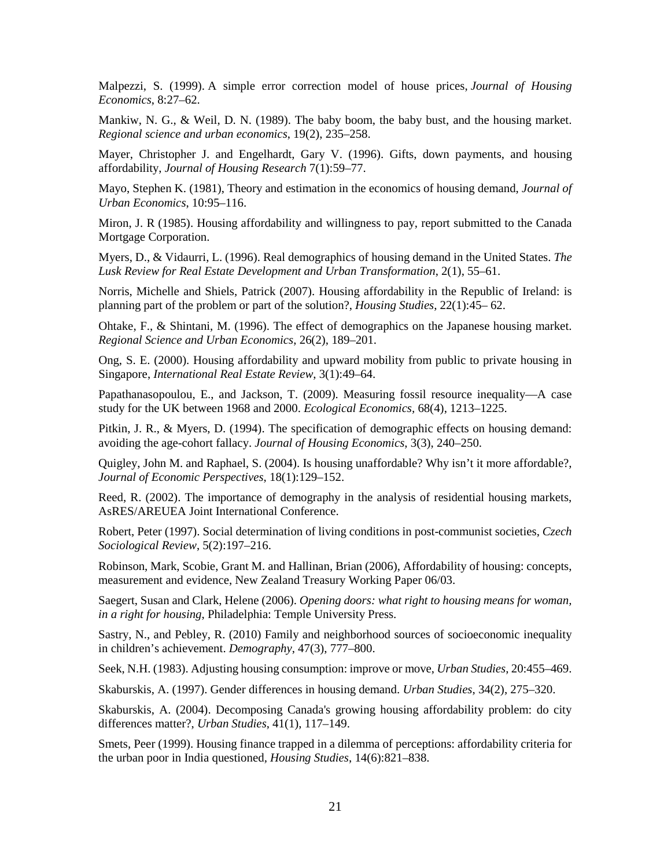Malpezzi, S. (1999). A simple error correction model of house prices, *Journal of Housing Economics*, 8:27–62.

Mankiw, N. G., & Weil, D. N. (1989). The baby boom, the baby bust, and the housing market. *Regional science and urban economics*, 19(2), 235–258.

Mayer, Christopher J. and Engelhardt, Gary V. (1996). Gifts, down payments, and housing affordability, *Journal of Housing Research* 7(1):59–77.

Mayo, Stephen K. (1981), Theory and estimation in the economics of housing demand, *Journal of Urban Economics*, 10:95–116.

Miron, J. R (1985). Housing affordability and willingness to pay, report submitted to the Canada Mortgage Corporation.

Myers, D., & Vidaurri, L. (1996). Real demographics of housing demand in the United States. *The Lusk Review for Real Estate Development and Urban Transformation*, 2(1), 55–61.

Norris, Michelle and Shiels, Patrick (2007). Housing affordability in the Republic of Ireland: is planning part of the problem or part of the solution?, *Housing Studies*, 22(1):45– 62.

Ohtake, F., & Shintani, M. (1996). The effect of demographics on the Japanese housing market. *Regional Science and Urban Economics*, 26(2), 189–201.

Ong, S. E. (2000). Housing affordability and upward mobility from public to private housing in Singapore, *International Real Estate Review*, 3(1):49–64.

Papathanasopoulou, E., and Jackson, T. (2009). Measuring fossil resource inequality—A case study for the UK between 1968 and 2000. *Ecological Economics,* 68(4), 1213–1225.

Pitkin, J. R., & Myers, D. (1994). The specification of demographic effects on housing demand: avoiding the age-cohort fallacy. *Journal of Housing Economics*, 3(3), 240–250.

Quigley, John M. and Raphael, S. (2004). Is housing unaffordable? Why isn't it more affordable?, *Journal of Economic Perspectives*, 18(1):129–152.

Reed, R. (2002). The importance of demography in the analysis of residential housing markets, AsRES/AREUEA Joint International Conference.

Robert, Peter (1997). Social determination of living conditions in post-communist societies, *Czech Sociological Review*, 5(2):197–216.

Robinson, Mark, Scobie, Grant M. and Hallinan, Brian (2006), Affordability of housing: concepts, measurement and evidence, New Zealand Treasury Working Paper 06/03.

Saegert, Susan and Clark, Helene (2006). *Opening doors: what right to housing means for woman, in a right for housing*, Philadelphia: Temple University Press.

Sastry, N., and Pebley, R. (2010) Family and neighborhood sources of socioeconomic inequality in children's achievement. *Demography*, 47(3), 777–800.

Seek, N.H. (1983). Adjusting housing consumption: improve or move, *Urban Studies*, 20:455–469.

Skaburskis, A. (1997). Gender differences in housing demand. *Urban Studies*, 34(2), 275–320.

Skaburskis, A. (2004). Decomposing Canada's growing housing affordability problem: do city differences matter?, *Urban Studies*, 41(1), 117–149.

Smets, Peer (1999). Housing finance trapped in a dilemma of perceptions: affordability criteria for the urban poor in India questioned*, Housing Studies*, 14(6):821–838.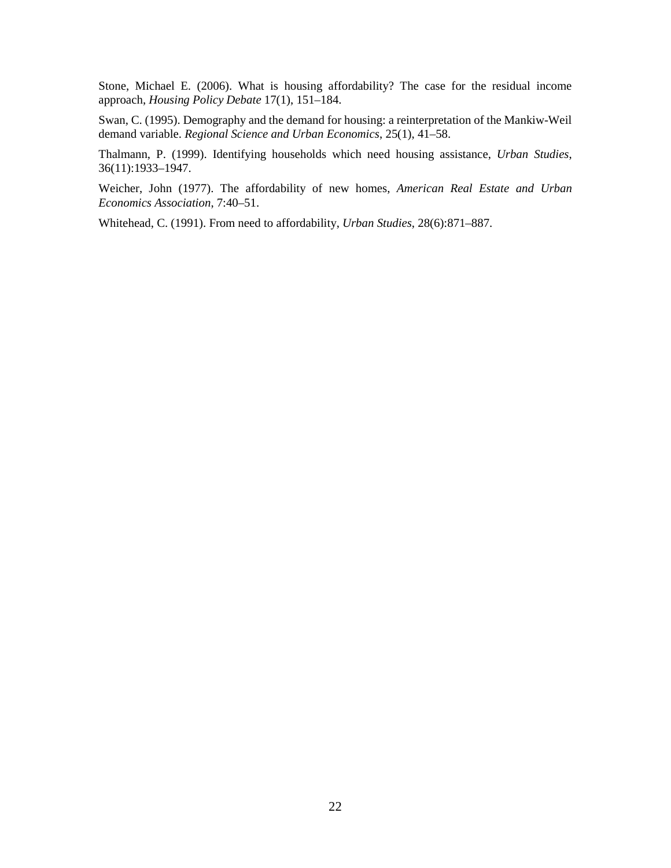Stone, Michael E. (2006). What is housing affordability? The case for the residual income approach, *Housing Policy Debate* 17(1), 151–184.

Swan, C. (1995). Demography and the demand for housing: a reinterpretation of the Mankiw-Weil demand variable. *Regional Science and Urban Economics*, 25(1), 41–58.

Thalmann, P. (1999). Identifying households which need housing assistance, *Urban Studies*, 36(11):1933–1947.

Weicher, John (1977). The affordability of new homes, *American Real Estate and Urban Economics Association*, 7:40–51.

Whitehead, C. (1991). From need to affordability, *Urban Studies*, 28(6):871–887.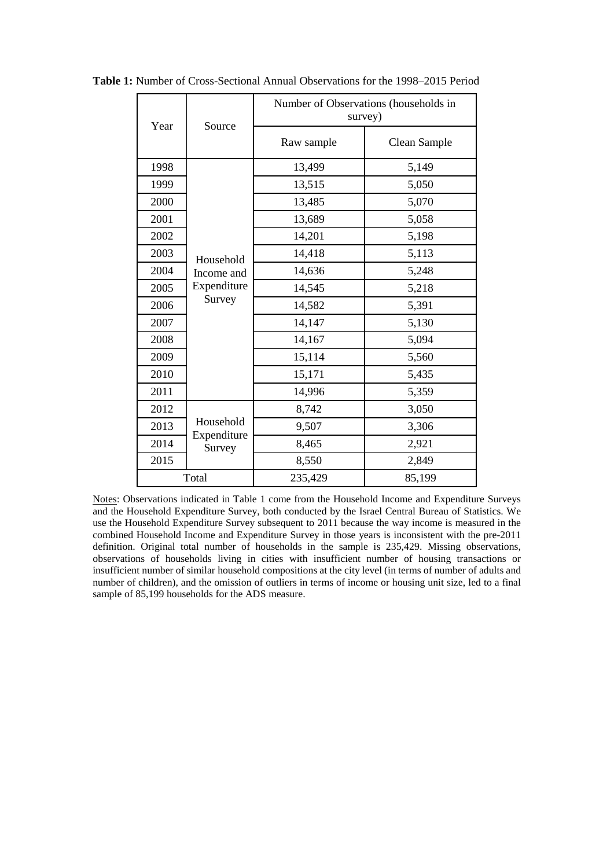| Year  | Source                             | Number of Observations (households in<br>survey) |              |  |
|-------|------------------------------------|--------------------------------------------------|--------------|--|
|       |                                    | Raw sample                                       | Clean Sample |  |
| 1998  |                                    | 13,499                                           | 5,149        |  |
| 1999  |                                    | 13,515                                           | 5,050        |  |
| 2000  |                                    | 13,485                                           | 5,070        |  |
| 2001  |                                    | 13,689                                           | 5,058        |  |
| 2002  |                                    | 14,201                                           | 5,198        |  |
| 2003  | Household                          | 14,418                                           | 5,113        |  |
| 2004  | Income and<br>Expenditure          | 14,636                                           | 5,248        |  |
| 2005  |                                    | 14,545                                           | 5,218        |  |
| 2006  | Survey                             | 14,582                                           | 5,391        |  |
| 2007  |                                    | 14,147                                           | 5,130        |  |
| 2008  |                                    | 14,167                                           | 5,094        |  |
| 2009  |                                    | 15,114                                           | 5,560        |  |
| 2010  |                                    | 15,171                                           | 5,435        |  |
| 2011  |                                    | 14,996                                           | 5,359        |  |
| 2012  |                                    | 8,742                                            | 3,050        |  |
| 2013  | Household<br>Expenditure<br>Survey | 9,507                                            | 3,306        |  |
| 2014  |                                    | 8,465                                            | 2,921        |  |
| 2015  |                                    | 8,550                                            | 2,849        |  |
| Total |                                    | 235,429                                          | 85,199       |  |

**Table 1:** Number of Cross-Sectional Annual Observations for the 1998–2015 Period

Notes: Observations indicated in Table 1 come from the Household Income and Expenditure Surveys and the Household Expenditure Survey, both conducted by the Israel Central Bureau of Statistics. We use the Household Expenditure Survey subsequent to 2011 because the way income is measured in the combined Household Income and Expenditure Survey in those years is inconsistent with the pre-2011 definition. Original total number of households in the sample is 235,429. Missing observations, observations of households living in cities with insufficient number of housing transactions or insufficient number of similar household compositions at the city level (in terms of number of adults and number of children), and the omission of outliers in terms of income or housing unit size, led to a final sample of 85,199 households for the ADS measure.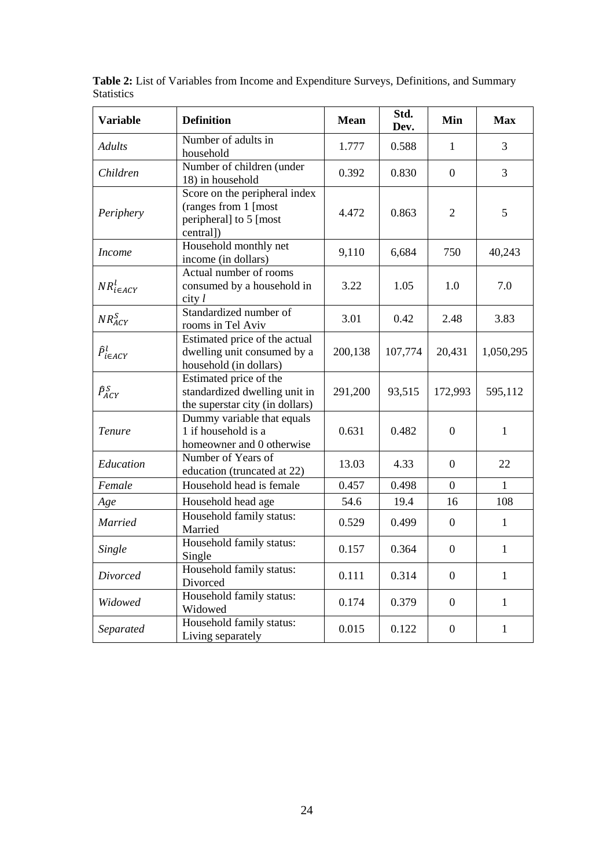| <b>Variable</b>                      | <b>Definition</b>                                                                            | <b>Mean</b> | Std.<br>Dev. | Min              | <b>Max</b>   |
|--------------------------------------|----------------------------------------------------------------------------------------------|-------------|--------------|------------------|--------------|
| <b>Adults</b>                        | Number of adults in<br>household                                                             | 1.777       | 0.588        | $\mathbf{1}$     | 3            |
| Children                             | Number of children (under<br>18) in household                                                | 0.392       | 0.830        | $\boldsymbol{0}$ | 3            |
| Periphery                            | Score on the peripheral index<br>(ranges from 1 [most<br>peripheral] to 5 [most<br>central]) | 4.472       | 0.863        | $\overline{2}$   | 5            |
| <b>Income</b>                        | Household monthly net<br>income (in dollars)                                                 | 9,110       | 6,684        | 750              | 40,243       |
| $\mathit{NR}_{i\in\mathit{ACY}}^{l}$ | Actual number of rooms<br>consumed by a household in<br>$city$ $l$                           | 3.22        | 1.05         | 1.0              | 7.0          |
| $NR_{ACY}^S$                         | Standardized number of<br>rooms in Tel Aviv                                                  | 3.01        | 0.42         | 2.48             | 3.83         |
| $\widehat{P}_{i\in ACY}^l$           | Estimated price of the actual<br>dwelling unit consumed by a<br>household (in dollars)       | 200,138     | 107,774      | 20,431           | 1,050,295    |
| $\widehat{P}_{ACY}^{S}$              | Estimated price of the<br>standardized dwelling unit in<br>the superstar city (in dollars)   | 291,200     | 93,515       | 172,993          | 595,112      |
| Tenure                               | Dummy variable that equals<br>1 if household is a<br>homeowner and 0 otherwise               | 0.631       | 0.482        | $\overline{0}$   | $\mathbf{1}$ |
| Education                            | Number of Years of<br>education (truncated at 22)                                            | 13.03       | 4.33         | $\overline{0}$   | 22           |
| Female                               | Household head is female                                                                     | 0.457       | 0.498        | $\overline{0}$   | $\mathbf{1}$ |
| Age                                  | Household head age                                                                           | 54.6        | 19.4         | 16               | 108          |
| <b>Married</b>                       | Household family status:<br>Married                                                          | 0.529       | 0.499        | $\overline{0}$   | $\mathbf{1}$ |
| Single                               | Household family status:<br>Single                                                           | 0.157       | 0.364        | $\overline{0}$   | $\mathbf{1}$ |
| Divorced                             | Household family status:<br>Divorced                                                         | 0.111       | 0.314        | $\boldsymbol{0}$ | $\mathbf{1}$ |
| Widowed                              | Household family status:<br>Widowed                                                          | 0.174       | 0.379        | $\overline{0}$   | $\mathbf{1}$ |
| Separated                            | Household family status:<br>Living separately                                                | 0.015       | 0.122        | $\overline{0}$   | $\mathbf{1}$ |

**Table 2:** List of Variables from Income and Expenditure Surveys, Definitions, and Summary Statistics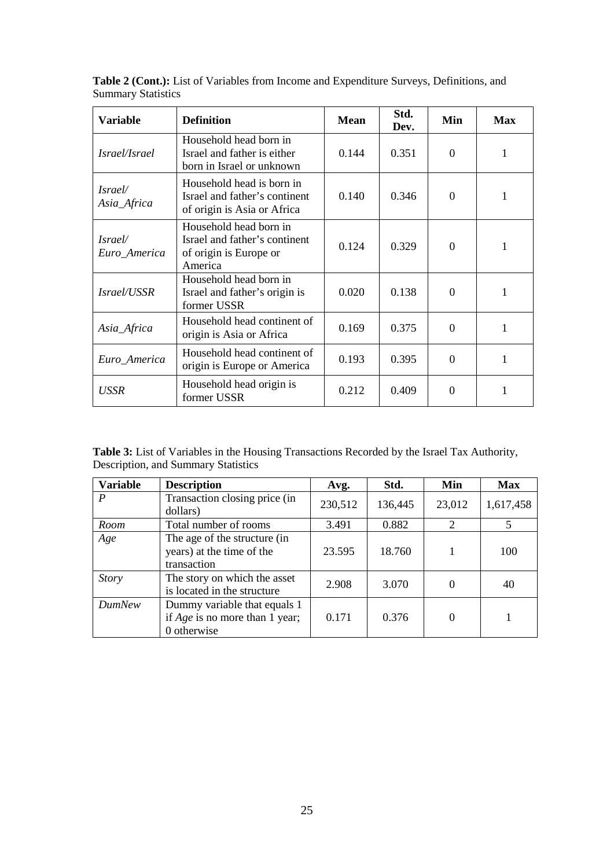| <b>Variable</b>                | <b>Definition</b>                                                                            | Mean  | Std.<br>Dev. | Min      | Max |
|--------------------------------|----------------------------------------------------------------------------------------------|-------|--------------|----------|-----|
| Israel/Israel                  | Household head born in<br>Israel and father is either<br>born in Israel or unknown           | 0.144 | 0.351        | $\Omega$ |     |
| Israel/<br>Asia_Africa         | Household head is born in<br>Israel and father's continent<br>of origin is Asia or Africa    | 0.140 | 0.346        | $\Omega$ | 1   |
| <i>Israel/</i><br>Euro_America | Household head born in<br>Israel and father's continent<br>of origin is Europe or<br>America | 0.124 | 0.329        | 0        |     |
| Israel/USSR                    | Household head born in<br>Israel and father's origin is<br>former USSR                       | 0.020 | 0.138        | 0        |     |
| Asia_Africa                    | Household head continent of<br>origin is Asia or Africa                                      | 0.169 | 0.375        | $\Omega$ |     |
| Euro_America                   | Household head continent of<br>origin is Europe or America                                   | 0.193 | 0.395        | $\Omega$ |     |
| USSR                           | Household head origin is<br>former USSR                                                      | 0.212 | 0.409        | ∩        |     |

**Table 2 (Cont.):** List of Variables from Income and Expenditure Surveys, Definitions, and Summary Statistics

**Table 3:** List of Variables in the Housing Transactions Recorded by the Israel Tax Authority, Description, and Summary Statistics

| <b>Variable</b>  | <b>Description</b>                                                              | Avg.    | Std.    | Min    | <b>Max</b> |
|------------------|---------------------------------------------------------------------------------|---------|---------|--------|------------|
| $\boldsymbol{P}$ | Transaction closing price (in<br>dollars)                                       | 230,512 | 136,445 | 23,012 | 1,617,458  |
| Room             | Total number of rooms                                                           | 3.491   | 0.882   | 2      | 5          |
| Age              | The age of the structure (in<br>years) at the time of the<br>transaction        | 23.595  | 18.760  |        | 100        |
| <i>Story</i>     | The story on which the asset<br>is located in the structure                     | 2.908   | 3.070   | 0      | 40         |
| <b>DumNew</b>    | Dummy variable that equals 1<br>if $Age$ is no more than 1 year;<br>0 otherwise | 0.171   | 0.376   | 0      |            |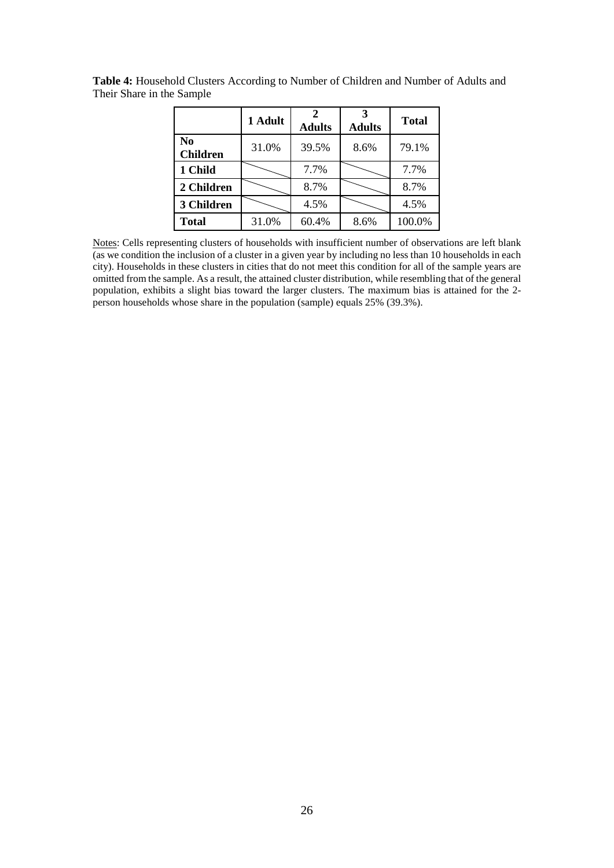|                                   | 1 Adult | 2<br><b>Adults</b> | 3<br><b>Adults</b> | <b>Total</b> |
|-----------------------------------|---------|--------------------|--------------------|--------------|
| N <sub>0</sub><br><b>Children</b> | 31.0%   | 39.5%              | 8.6%               | 79.1%        |
| 1 Child                           |         | 7.7%               |                    | 7.7%         |
| 2 Children                        |         | 8.7%               |                    | 8.7%         |
| 3 Children                        |         | 4.5%               |                    | 4.5%         |
| <b>Total</b>                      | 31.0%   | 60.4%              | 8.6%               | 100.0%       |

**Table 4:** Household Clusters According to Number of Children and Number of Adults and Their Share in the Sample

Notes: Cells representing clusters of households with insufficient number of observations are left blank (as we condition the inclusion of a cluster in a given year by including no less than 10 households in each city). Households in these clusters in cities that do not meet this condition for all of the sample years are omitted from the sample. As a result, the attained cluster distribution, while resembling that of the general population, exhibits a slight bias toward the larger clusters. The maximum bias is attained for the 2 person households whose share in the population (sample) equals 25% (39.3%).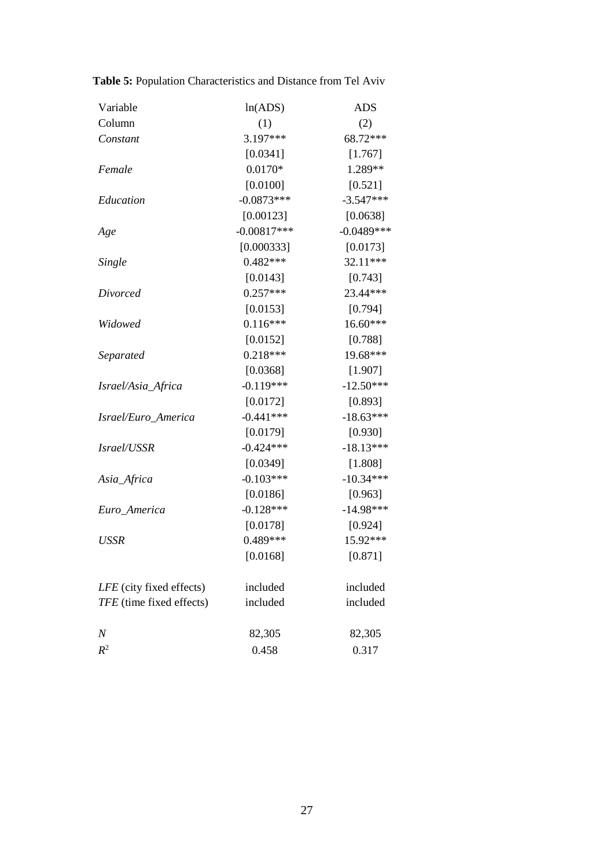| Variable                 | ln(ADS)       | ADS          |
|--------------------------|---------------|--------------|
| Column                   | (1)           | (2)          |
| Constant                 | 3.197***      | 68.72***     |
|                          | [0.0341]      | [1.767]      |
| Female                   | $0.0170*$     | 1.289**      |
|                          | [0.0100]      | [0.521]      |
| Education                | $-0.0873***$  | $-3.547***$  |
|                          | [0.00123]     | [0.0638]     |
| Age                      | $-0.00817***$ | $-0.0489***$ |
|                          | [0.000333]    | [0.0173]     |
| <b>Single</b>            | $0.482***$    | 32.11***     |
|                          | [0.0143]      | [0.743]      |
| Divorced                 | $0.257***$    | 23.44***     |
|                          | [0.0153]      | [0.794]      |
| Widowed                  | $0.116***$    | 16.60***     |
|                          | [0.0152]      | [0.788]      |
| Separated                | $0.218***$    | 19.68***     |
|                          | [0.0368]      | [1.907]      |
| Israel/Asia_Africa       | $-0.119***$   | $-12.50***$  |
|                          | [0.0172]      | [0.893]      |
| Israel/Euro_America      | $-0.441***$   | $-18.63***$  |
|                          | [0.0179]      | [0.930]      |
| Israel/USSR              | $-0.424***$   | $-18.13***$  |
|                          | [0.0349]      | [1.808]      |
| Asia_Africa              | $-0.103***$   | $-10.34***$  |
|                          | [0.0186]      | [0.963]      |
| Euro_America             | $-0.128***$   | $-14.98***$  |
|                          | [0.0178]      | [0.924]      |
| <b>USSR</b>              | $0.489***$    | 15.92***     |
|                          | [0.0168]      | [0.871]      |
| LFE (city fixed effects) | included      | included     |
| TFE (time fixed effects) | included      | included     |
| $\boldsymbol{N}$         | 82,305        | 82,305       |
| $R^2$                    | 0.458         | 0.317        |

**Table 5:** Population Characteristics and Distance from Tel Aviv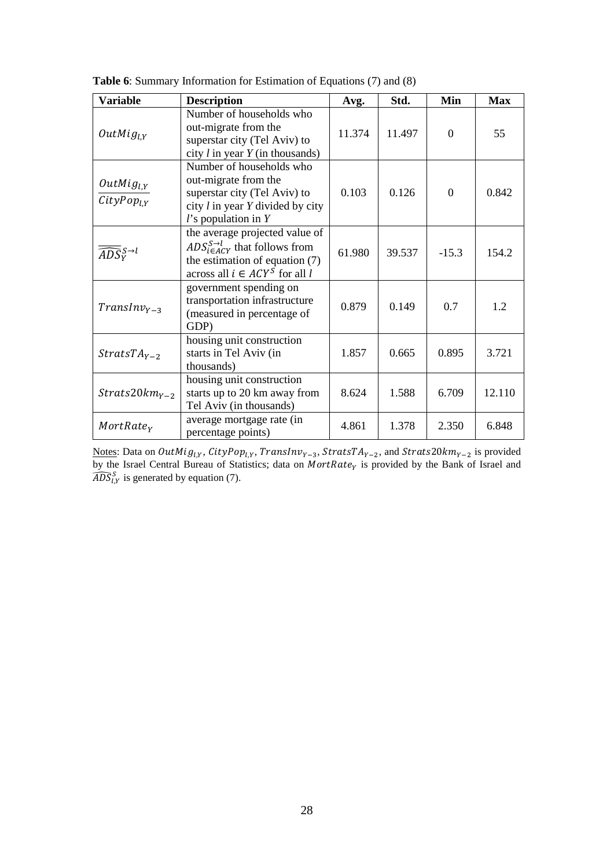| <b>Variable</b>                      | <b>Description</b>                                                                                                                                              | Avg.   | Std.   | Min            | <b>Max</b> |
|--------------------------------------|-----------------------------------------------------------------------------------------------------------------------------------------------------------------|--------|--------|----------------|------------|
| $OutMig_{LY}$                        | Number of households who<br>out-migrate from the<br>superstar city (Tel Aviv) to<br>city $l$ in year $Y$ (in thousands)                                         | 11.374 | 11.497 | $\Omega$       | 55         |
| $OutMig_{l,Y}$<br>$CityPop_{LY}$     | Number of households who<br>out-migrate from the<br>superstar city (Tel Aviv) to<br>city $l$ in year $Y$ divided by city<br>$l$ 's population in $Y$            | 0.103  | 0.126  | $\overline{0}$ | 0.842      |
| $\widehat{ADS}^{S\rightarrow l}_{V}$ | the average projected value of<br>$ADS_{i \in ACT}^{S \rightarrow l}$ that follows from<br>the estimation of equation (7)<br>across all $i \in ACY^S$ for all l | 61.980 | 39.537 | $-15.3$        | 154.2      |
| $TransInv_{Y-3}$                     | government spending on<br>transportation infrastructure<br>(measured in percentage of<br>GDP)                                                                   | 0.879  | 0.149  | 0.7            | 1.2        |
| $StratsTAY-2$                        | housing unit construction<br>starts in Tel Aviv (in<br>thousands)                                                                                               | 1.857  | 0.665  | 0.895          | 3.721      |
| $Strats20km_{Y-2}$                   | housing unit construction<br>starts up to 20 km away from<br>Tel Aviv (in thousands)                                                                            | 8.624  | 1.588  | 6.709          | 12.110     |
| MortRate <sub>y</sub>                | average mortgage rate (in<br>percentage points)                                                                                                                 | 4.861  | 1.378  | 2.350          | 6.848      |

**Table 6**: Summary Information for Estimation of Equations (7) and (8)

Notes: Data on OutMig<sub>l,Y</sub>, CityPop<sub>l,Y</sub>, TransInv<sub>Y-3</sub>, StratsTA<sub>Y-2</sub>, and Strats20km<sub>Y-2</sub> is provided by the Israel Central Bureau of Statistics; data on  $MortRate<sub>V</sub>$  is provided by the Bank of Israel and  $\overline{ADS}_{l,Y}^S$  is generated by equation (7).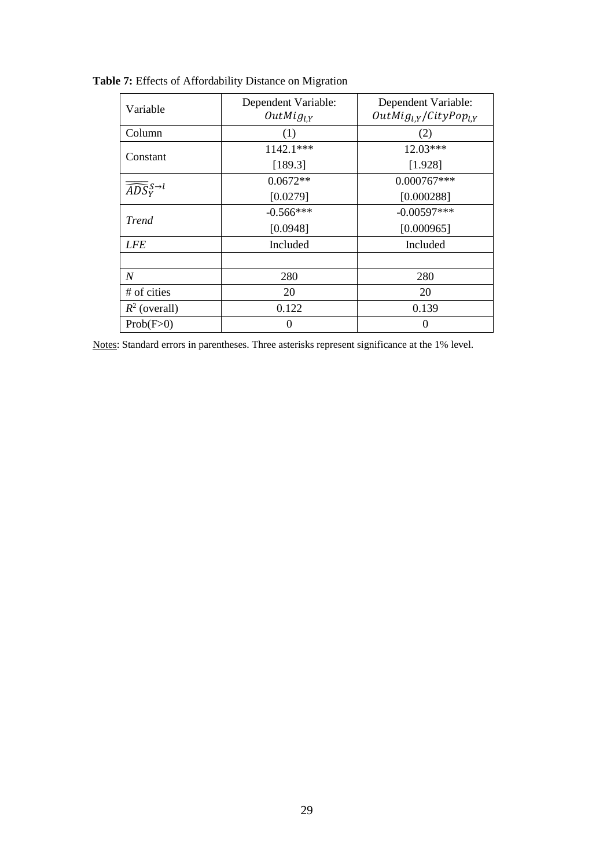| Variable                             | Dependent Variable:<br>Dependent Variable:<br>$OutMig_{l,Y}/CityPop_{l,Y}$<br>$OutMig_{LY}$ |               |  |
|--------------------------------------|---------------------------------------------------------------------------------------------|---------------|--|
| Column                               | (1)                                                                                         | (2)           |  |
| Constant                             | 1142.1***                                                                                   | 12.03***      |  |
|                                      | [189.3]                                                                                     | [1.928]       |  |
|                                      | $0.0672**$                                                                                  | $0.000767***$ |  |
| $\widehat{ADS}^{S\rightarrow l}_{V}$ | [0.0279]                                                                                    | [0.000288]    |  |
| <b>Trend</b>                         | $-0.566***$                                                                                 | $-0.00597***$ |  |
|                                      | [0.0948]                                                                                    | [0.000965]    |  |
| <b>LFE</b>                           | Included                                                                                    | Included      |  |
|                                      |                                                                                             |               |  |
| N                                    | 280                                                                                         | 280           |  |
| # of cities                          | 20                                                                                          | 20            |  |
| $R^2$ (overall)                      | 0.122                                                                                       | 0.139         |  |
| Prob(F>0)                            | $\Omega$                                                                                    | $\Omega$      |  |

**Table 7:** Effects of Affordability Distance on Migration

Notes: Standard errors in parentheses. Three asterisks represent significance at the 1% level.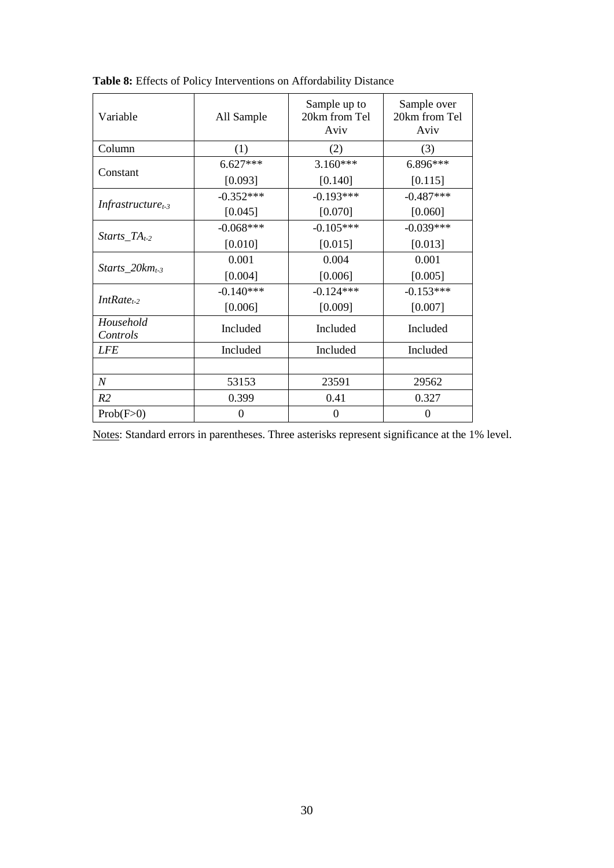| Variable                      | All Sample  | Sample up to<br>20km from Tel<br>Aviv | Sample over<br>20km from Tel<br>Aviv |  |
|-------------------------------|-------------|---------------------------------------|--------------------------------------|--|
| Column                        | (1)         | (2)                                   | (3)                                  |  |
| Constant                      | $6.627***$  | $3.160***$                            | 6.896***                             |  |
|                               | [0.093]     | [0.140]                               | [0.115]                              |  |
|                               | $-0.352***$ | $-0.193***$                           | $-0.487***$                          |  |
| Infrastructure <sub>t-3</sub> | [0.045]     | [0.070]                               | [0.060]                              |  |
|                               | $-0.068***$ | $-0.105***$                           | $-0.039***$                          |  |
| $Starts\_TA_{t-2}$            | [0.010]     | [0.015]                               | [0.013]                              |  |
|                               | 0.001       | 0.004                                 | 0.001                                |  |
| Starts_20 $km_{t-3}$          | [0.004]     | [0.006]                               | [0.005]                              |  |
| $IntRate_{t-2}$               | $-0.140***$ | $-0.124***$                           | $-0.153***$                          |  |
|                               | [0.006]     | [0.009]                               | [0.007]                              |  |
| Household<br>Controls         | Included    | Included                              | Included                             |  |
| <b>LFE</b>                    | Included    | Included                              | Included                             |  |
|                               |             |                                       |                                      |  |
| $\boldsymbol{N}$              | 53153       | 23591                                 | 29562                                |  |
| R2                            | 0.399       | 0.41                                  | 0.327                                |  |
| Prob(F>0)                     | 0           | 0                                     | $\theta$                             |  |

**Table 8:** Effects of Policy Interventions on Affordability Distance

Notes: Standard errors in parentheses. Three asterisks represent significance at the 1% level.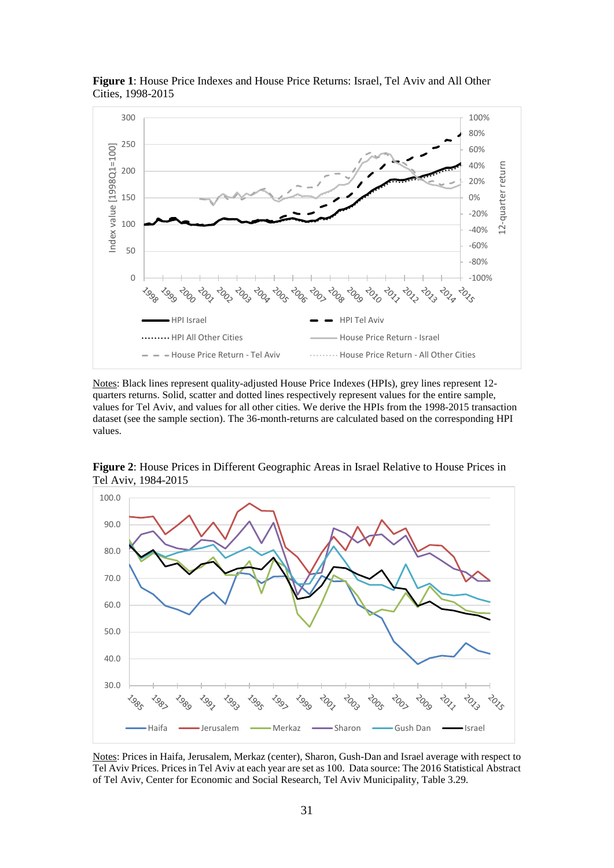

**Figure 1**: House Price Indexes and House Price Returns: Israel, Tel Aviv and All Other Cities, 1998-2015

Notes: Black lines represent quality-adjusted House Price Indexes (HPIs), grey lines represent 12 quarters returns. Solid, scatter and dotted lines respectively represent values for the entire sample, values for Tel Aviv, and values for all other cities. We derive the HPIs from the 1998-2015 transaction dataset (see the sample section). The 36-month-returns are calculated based on the corresponding HPI values.



**Figure 2**: House Prices in Different Geographic Areas in Israel Relative to House Prices in Tel Aviv, 1984-2015

Notes: Prices in Haifa, Jerusalem, Merkaz (center), Sharon, Gush-Dan and Israel average with respect to Tel Aviv Prices. Prices in Tel Aviv at each year are set as 100. Data source: The 2016 Statistical Abstract of Tel Aviv, Center for Economic and Social Research, Tel Aviv Municipality, Table 3.29.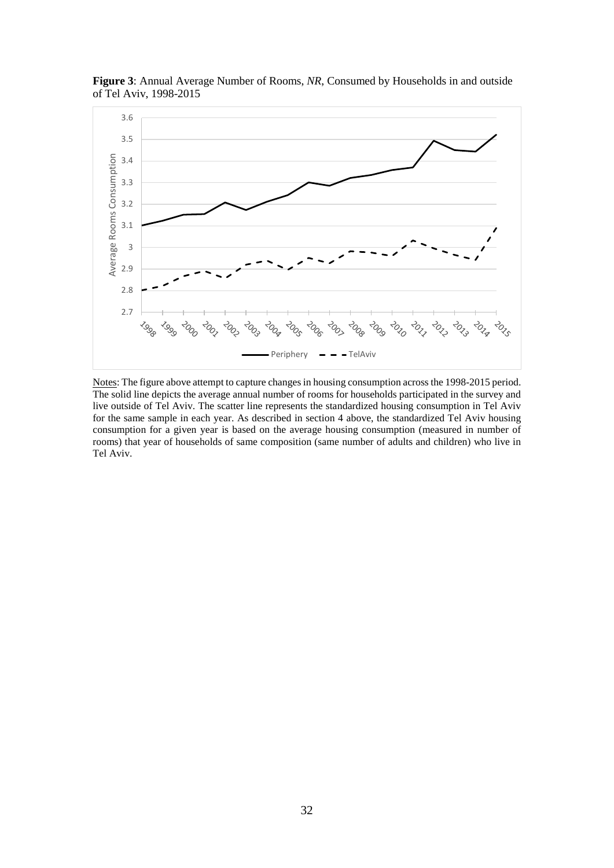

**Figure 3**: Annual Average Number of Rooms, *NR*, Consumed by Households in and outside of Tel Aviv, 1998-2015

Notes: The figure above attempt to capture changes in housing consumption across the 1998-2015 period. The solid line depicts the average annual number of rooms for households participated in the survey and live outside of Tel Aviv. The scatter line represents the standardized housing consumption in Tel Aviv for the same sample in each year. As described in section 4 above, the standardized Tel Aviv housing consumption for a given year is based on the average housing consumption (measured in number of rooms) that year of households of same composition (same number of adults and children) who live in Tel Aviv.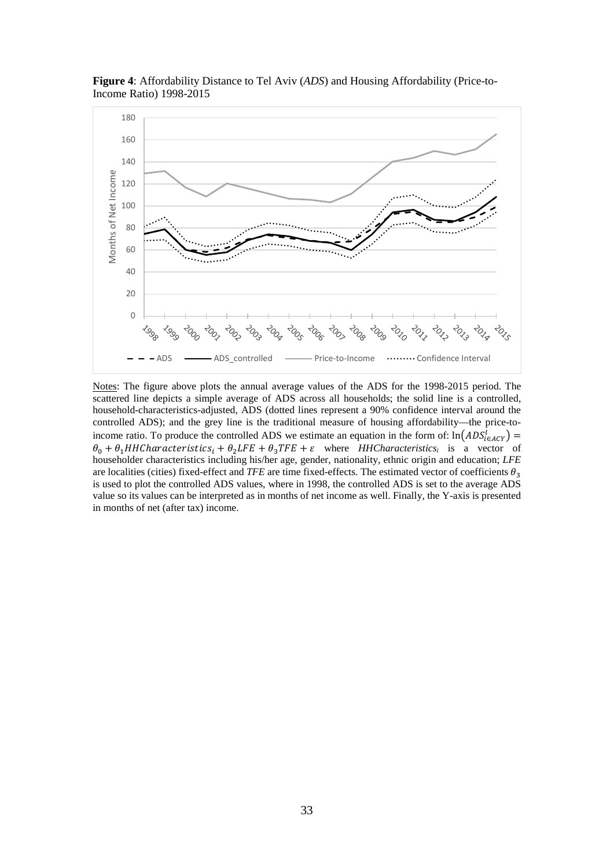

**Figure 4**: Affordability Distance to Tel Aviv (*ADS*) and Housing Affordability (Price-to-Income Ratio) 1998-2015

Notes: The figure above plots the annual average values of the ADS for the 1998-2015 period. The scattered line depicts a simple average of ADS across all households; the solid line is a controlled, household-characteristics-adjusted, ADS (dotted lines represent a 90% confidence interval around the controlled ADS); and the grey line is the traditional measure of housing affordability—the price-toincome ratio. To produce the controlled ADS we estimate an equation in the form of:  $\ln(ADS_{\epsilon ACY}^t)$  =  $\theta_0 + \theta_1 H H C$ haracteristics<sub>i</sub> +  $\theta_2 LFE + \theta_3 TFE + \varepsilon$  where *HHCharacteristics<sub>i</sub>* is a vector of householder characteristics including his/her age, gender, nationality, ethnic origin and education; *LFE* are localities (cities) fixed-effect and *TFE* are time fixed-effects. The estimated vector of coefficients  $\theta_3$ is used to plot the controlled ADS values, where in 1998, the controlled ADS is set to the average ADS value so its values can be interpreted as in months of net income as well. Finally, the Y-axis is presented in months of net (after tax) income.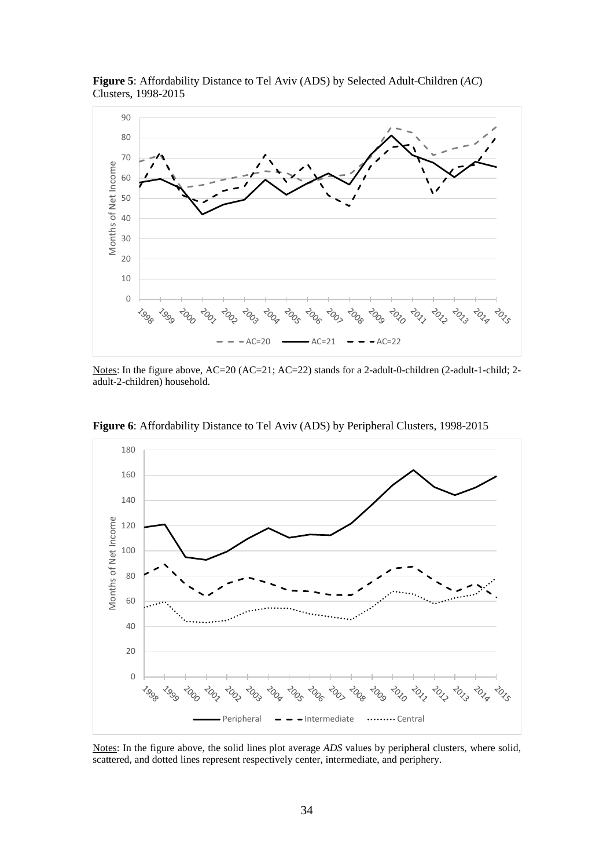

**Figure 5**: Affordability Distance to Tel Aviv (ADS) by Selected Adult-Children (*AC*) Clusters, 1998-2015

Notes: In the figure above, AC=20 (AC=21; AC=22) stands for a 2-adult-0-children (2-adult-1-child; 2adult-2-children) household.



**Figure 6**: Affordability Distance to Tel Aviv (ADS) by Peripheral Clusters, 1998-2015

Notes: In the figure above, the solid lines plot average *ADS* values by peripheral clusters, where solid, scattered, and dotted lines represent respectively center, intermediate, and periphery.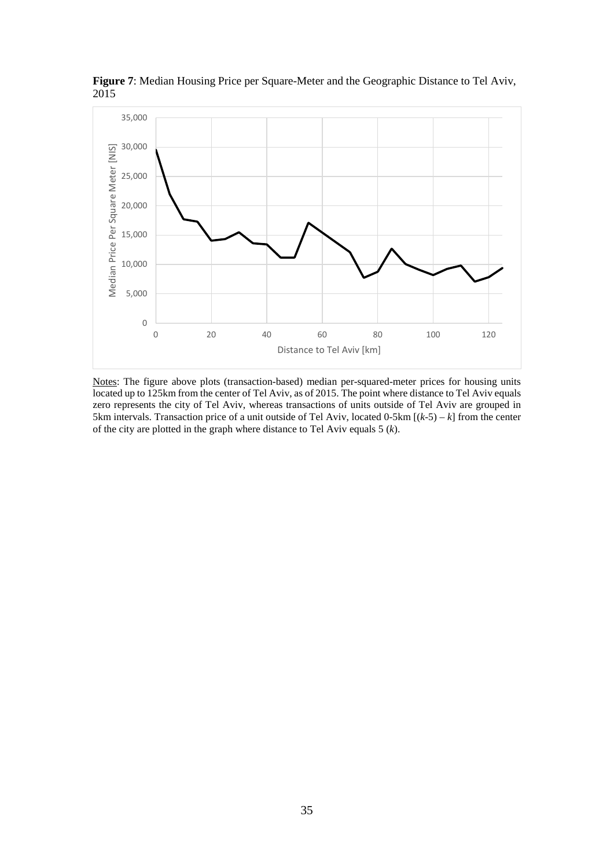

**Figure 7**: Median Housing Price per Square-Meter and the Geographic Distance to Tel Aviv, 2015

Notes: The figure above plots (transaction-based) median per-squared-meter prices for housing units located up to 125km from the center of Tel Aviv, as of 2015. The point where distance to Tel Aviv equals zero represents the city of Tel Aviv, whereas transactions of units outside of Tel Aviv are grouped in 5km intervals. Transaction price of a unit outside of Tel Aviv, located  $0$ -5km  $[(k-5) - k]$  from the center of the city are plotted in the graph where distance to Tel Aviv equals 5 (*k*).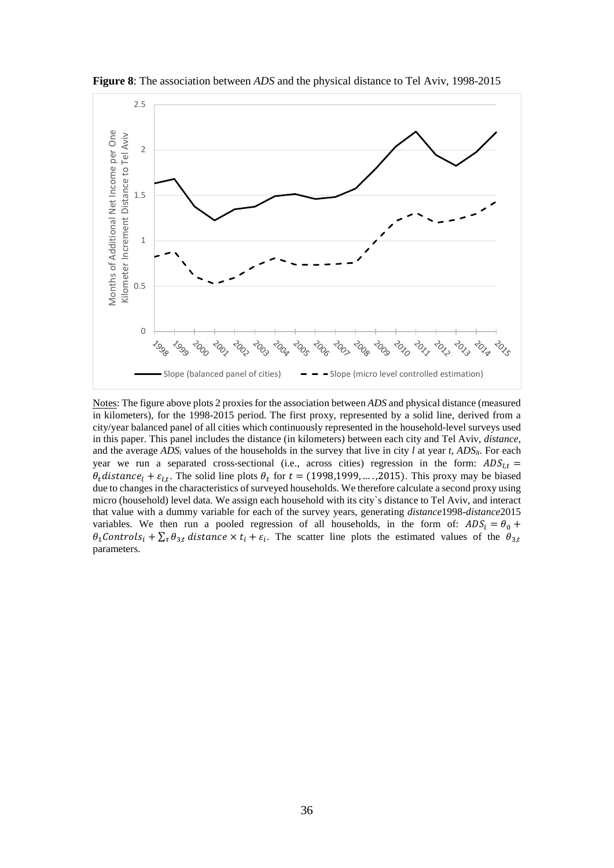

**Figure 8**: The association between *ADS* and the physical distance to Tel Aviv, 1998-2015

Notes: The figure above plots 2 proxies for the association between *ADS* and physical distance (measured in kilometers), for the 1998-2015 period. The first proxy, represented by a solid line, derived from a city/year balanced panel of all cities which continuously represented in the household-level surveys used in this paper. This panel includes the distance (in kilometers) between each city and Tel Aviv, *distance*, and the average  $ADS<sub>i</sub>$  values of the households in the survey that live in city *l* at year *t*,  $ADS<sub>li</sub>$ . For each year we run a separated cross-sectional (i.e., across cities) regression in the form:  $ADS_{l,t}$  =  $\theta_t$  distance<sub>l</sub> +  $\varepsilon_{t,t}$ . The solid line plots  $\theta_t$  for  $t = (1998, 1999, \dots, 2015)$ . This proxy may be biased due to changes in the characteristics of surveyed households. We therefore calculate a second proxy using micro (household) level data. We assign each household with its city`s distance to Tel Aviv, and interact that value with a dummy variable for each of the survey years, generating *distance*1998-*distance*2015 variables. We then run a pooled regression of all households, in the form of:  $ADS_i = \theta_0 +$  $\theta_1$ Controls<sub>i</sub> +  $\sum_{\tau} \theta_{3,t}$  distance  $\times t_i + \varepsilon_i$ . The scatter line plots the estimated values of the  $\theta_{3,t}$ parameters.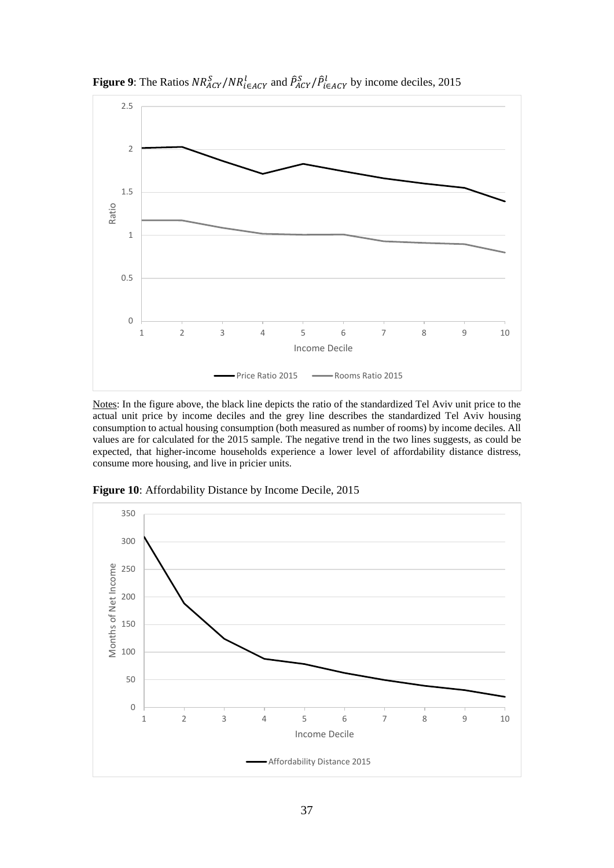

**Figure 9:** The Ratios  $NR_{ACY}^S/NR_{i\in ACY}^I$  and  $\hat{P}_{ACY}^S/\hat{P}_{i\in ACY}^I$  by income deciles, 2015

Notes: In the figure above, the black line depicts the ratio of the standardized Tel Aviv unit price to the actual unit price by income deciles and the grey line describes the standardized Tel Aviv housing consumption to actual housing consumption (both measured as number of rooms) by income deciles. All values are for calculated for the 2015 sample. The negative trend in the two lines suggests, as could be expected, that higher-income households experience a lower level of affordability distance distress, consume more housing, and live in pricier units.



**Figure 10**: Affordability Distance by Income Decile, 2015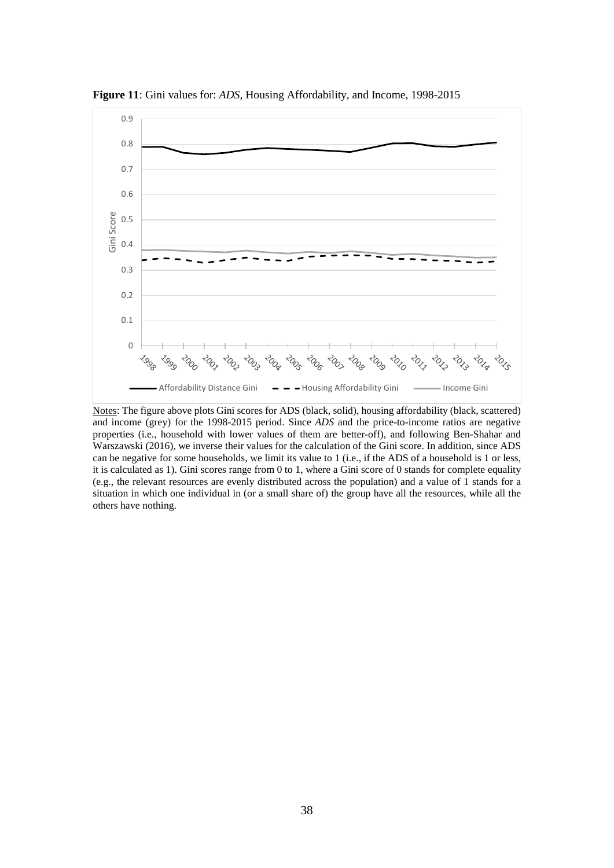

**Figure 11**: Gini values for: *ADS,* Housing Affordability, and Income, 1998-2015

Notes: The figure above plots Gini scores for ADS (black, solid), housing affordability (black, scattered) and income (grey) for the 1998-2015 period. Since *ADS* and the price-to-income ratios are negative properties (i.e., household with lower values of them are better-off), and following Ben-Shahar and Warszawski (2016), we inverse their values for the calculation of the Gini score. In addition, since ADS can be negative for some households, we limit its value to 1 (i.e., if the ADS of a household is 1 or less, it is calculated as 1). Gini scores range from 0 to 1, where a Gini score of 0 stands for complete equality (e.g., the relevant resources are evenly distributed across the population) and a value of  $\hat{1}$  stands for a situation in which one individual in (or a small share of) the group have all the resources, while all the others have nothing.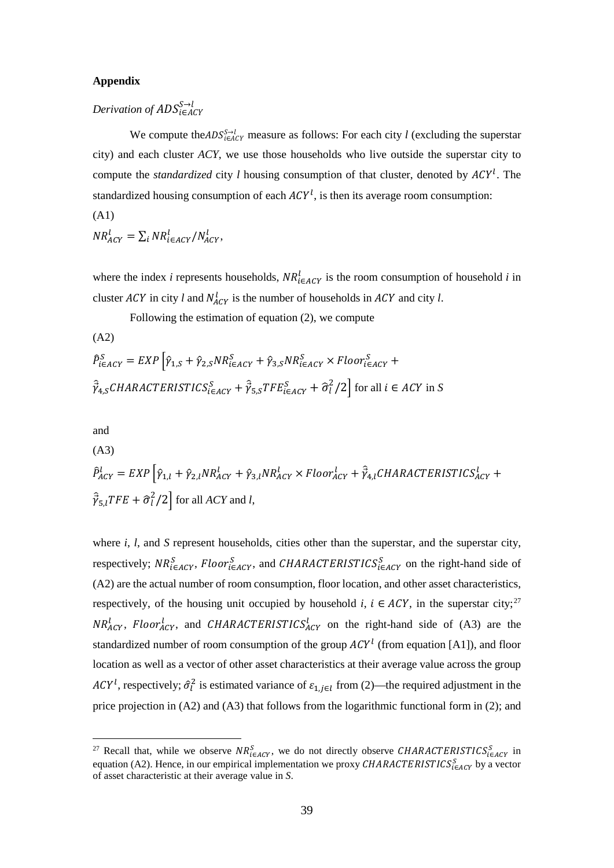## **Appendix**

# $Derivation$  of  $ADS_{i\in A}^{S\rightarrow \ell}$

We compute the *ADS*<sup> $S-1$ </sup><sub> $i\in ACY$ </sub> measure as follows: For each city *l* (excluding the superstar city) and each cluster *ACY*, we use those households who live outside the superstar city to compute the *standardized* city *l* housing consumption of that cluster, denoted by  $ACY^l$ . The standardized housing consumption of each  $ACY^l$ , is then its average room consumption: (A1)

$$
NR_{ACY}^l = \sum_i NR_{i\in ACY}^l/N_{ACY}^l,
$$

where the index *i* represents households,  $NR_{i \in ACY}^l$  is the room consumption of household *i* in cluster  $ACY$  in city *l* and  $N_{ACY}^l$  is the number of households in  $ACY$  and city *l*.

Following the estimation of equation (2), we compute

(A2)

$$
\hat{P}_{i\in ACTE}^{S} = EXP \left[ \hat{\gamma}_{1,S} + \hat{\gamma}_{2,S} N R_{i\in ACT}^{S} + \hat{\gamma}_{3,S} N R_{i\in ACT}^{S} \times Floor_{i\in ACT}^{S} + \hat{\gamma}_{4,S} CHARACTERISTICS_{i\in ACT}^{S} + \hat{\gamma}_{5,S} TFE_{i\in ACT}^{S} + \hat{\sigma}_{t}^{2}/2 \right] \text{ for all } i \in ACTB
$$

and

(A3)  $\hat{P}_{ACY}^l = EXP \left[\hat{\gamma}_{1,l} + \hat{\gamma}_{2,l}NR_{ACY}^l + \hat{\gamma}_{3,l}NR_{ACY}^l \times Floor_{ACY}^l + \vec{\gamma}_{4,l}CHARACTERISTICS_{ACY}^l + \right.$  $\hat{\vec{\gamma}}_{5,l} \text{TFE} + \hat{\sigma}_l^2/2$  for all *ACY* and *l*,

where *i*, *l*, and *S* represent households, cities other than the superstar, and the superstar city, respectively;  $NR_{i \in ACY}^{S}$ , Floor $_{i \in ACY}^{S}$ , and CHARACTERISTICS $_{i \in ACY}^{S}$  on the right-hand side of (A2) are the actual number of room consumption, floor location, and other asset characteristics, respectively, of the housing unit occupied by household *i*,  $i \in ACY$ , in the superstar city;<sup>[27](#page-38-0)</sup>  $NR_{ACY}^l$ , Floor<sub>ACY</sub>, and CHARACTERISTICS<sub>ACY</sub> on the right-hand side of (A3) are the standardized number of room consumption of the group  $ACY<sup>l</sup>$  (from equation [A1]), and floor location as well as a vector of other asset characteristics at their average value across the group *ACY*<sup>*l*</sup>, respectively;  $\hat{\sigma}_l^2$  is estimated variance of  $\varepsilon_{1,j\in l}$  from (2)—the required adjustment in the price projection in  $(A2)$  and  $(A3)$  that follows from the logarithmic functional form in (2); and

<span id="page-38-0"></span><sup>&</sup>lt;sup>27</sup> Recall that, while we observe  $NR_{i\in ACT}^{S}$ , we do not directly observe *CHARACTERISTICS*<sub> $i\in ACT$ </sub> in equation (A2). Hence, in our empirical implementation we proxy  $\mathcal{CHARACTERISTICS}_{i \in \mathcal{ACY}}^S$  by a vector of asset characteristic at their average value in *S*.